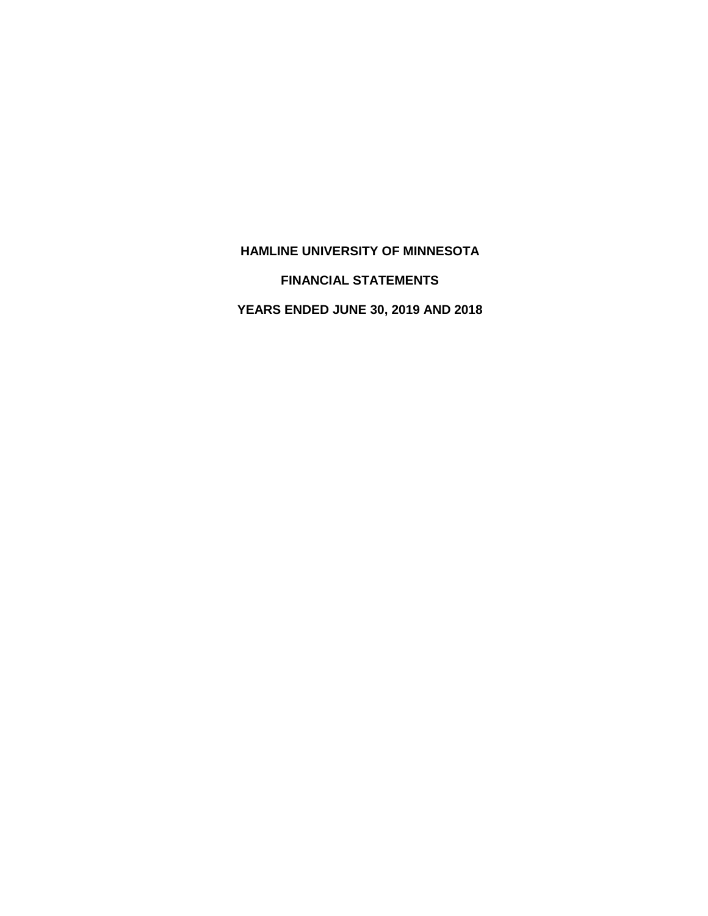# **HAMLINE UNIVERSITY OF MINNESOTA**

**FINANCIAL STATEMENTS**

**YEARS ENDED JUNE 30, 2019 AND 2018**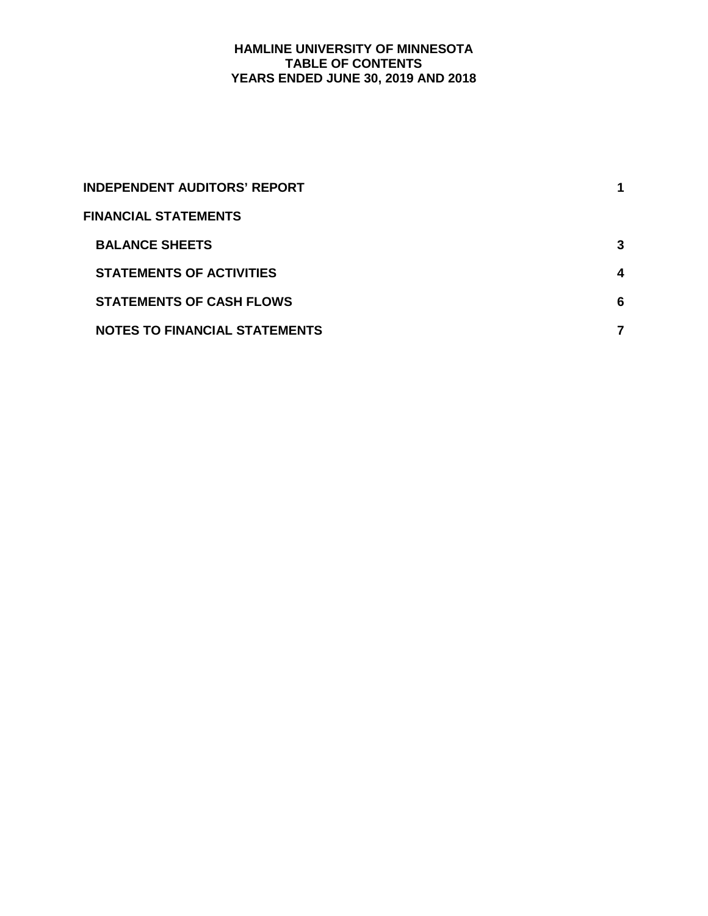### **HAMLINE UNIVERSITY OF MINNESOTA TABLE OF CONTENTS YEARS ENDED JUNE 30, 2019 AND 2018**

| <b>INDEPENDENT AUDITORS' REPORT</b>  |   |
|--------------------------------------|---|
| <b>FINANCIAL STATEMENTS</b>          |   |
| <b>BALANCE SHEETS</b>                | 3 |
| <b>STATEMENTS OF ACTIVITIES</b>      | 4 |
| <b>STATEMENTS OF CASH FLOWS</b>      | 6 |
| <b>NOTES TO FINANCIAL STATEMENTS</b> | 7 |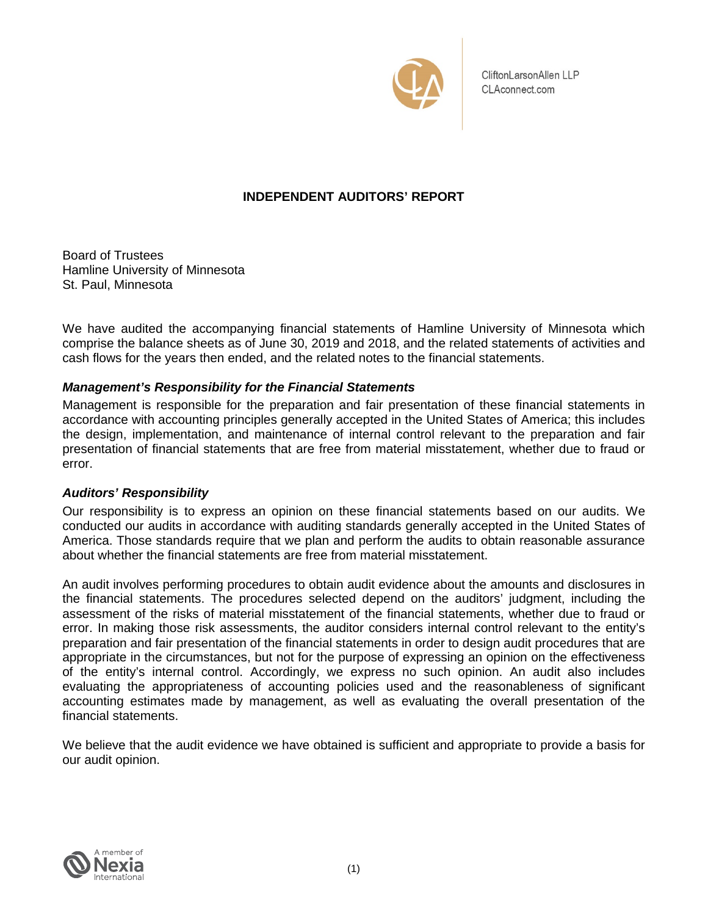

CliftonLarsonAllen LLP CLAconnect.com

# **INDEPENDENT AUDITORS' REPORT**

Board of Trustees Hamline University of Minnesota St. Paul, Minnesota

We have audited the accompanying financial statements of Hamline University of Minnesota which comprise the balance sheets as of June 30, 2019 and 2018, and the related statements of activities and cash flows for the years then ended, and the related notes to the financial statements.

# *Management's Responsibility for the Financial Statements*

Management is responsible for the preparation and fair presentation of these financial statements in accordance with accounting principles generally accepted in the United States of America; this includes the design, implementation, and maintenance of internal control relevant to the preparation and fair presentation of financial statements that are free from material misstatement, whether due to fraud or error.

# *Auditors' Responsibility*

Our responsibility is to express an opinion on these financial statements based on our audits. We conducted our audits in accordance with auditing standards generally accepted in the United States of America. Those standards require that we plan and perform the audits to obtain reasonable assurance about whether the financial statements are free from material misstatement.

An audit involves performing procedures to obtain audit evidence about the amounts and disclosures in the financial statements. The procedures selected depend on the auditors' judgment, including the assessment of the risks of material misstatement of the financial statements, whether due to fraud or error. In making those risk assessments, the auditor considers internal control relevant to the entity's preparation and fair presentation of the financial statements in order to design audit procedures that are appropriate in the circumstances, but not for the purpose of expressing an opinion on the effectiveness of the entity's internal control. Accordingly, we express no such opinion. An audit also includes evaluating the appropriateness of accounting policies used and the reasonableness of significant accounting estimates made by management, as well as evaluating the overall presentation of the financial statements.

We believe that the audit evidence we have obtained is sufficient and appropriate to provide a basis for our audit opinion.

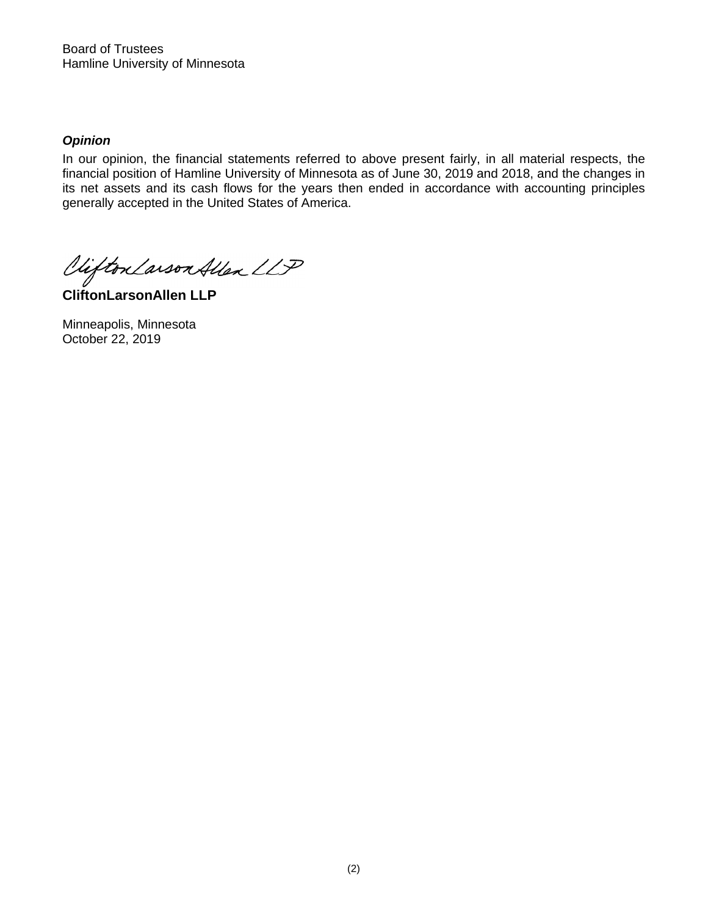# *Opinion*

In our opinion, the financial statements referred to above present fairly, in all material respects, the financial position of Hamline University of Minnesota as of June 30, 2019 and 2018, and the changes in its net assets and its cash flows for the years then ended in accordance with accounting principles generally accepted in the United States of America.

Viifton Larson Allen LLP

**CliftonLarsonAllen LLP**

Minneapolis, Minnesota October 22, 2019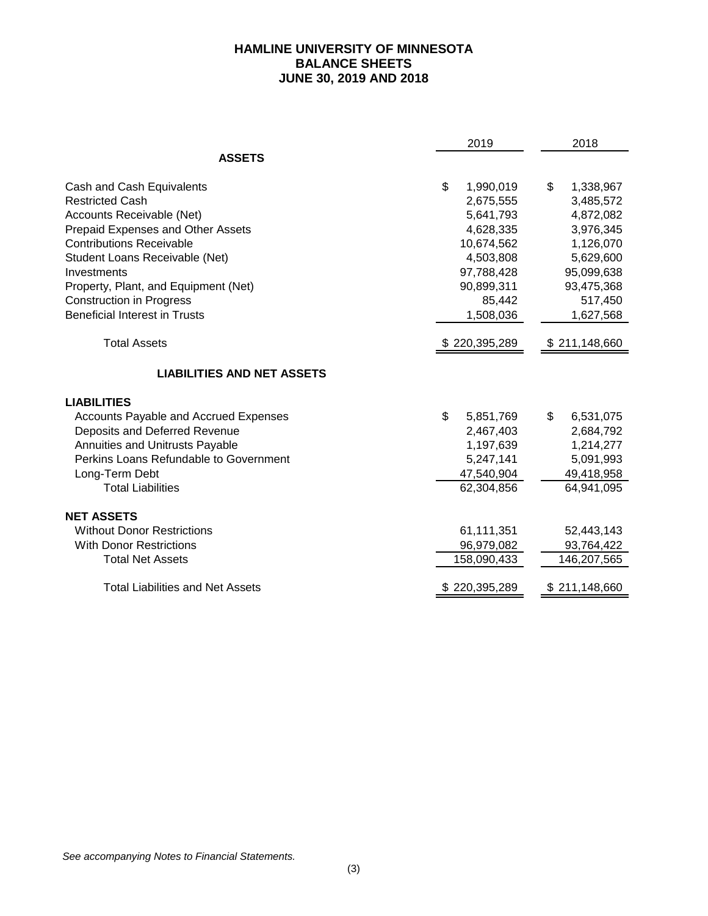### **HAMLINE UNIVERSITY OF MINNESOTA BALANCE SHEETS JUNE 30, 2019 AND 2018**

|                                         | 2019            | 2018            |
|-----------------------------------------|-----------------|-----------------|
| <b>ASSETS</b>                           |                 |                 |
| Cash and Cash Equivalents               | \$<br>1,990,019 | \$<br>1,338,967 |
| <b>Restricted Cash</b>                  | 2,675,555       | 3,485,572       |
| Accounts Receivable (Net)               | 5,641,793       | 4,872,082       |
| Prepaid Expenses and Other Assets       | 4,628,335       | 3,976,345       |
| <b>Contributions Receivable</b>         | 10,674,562      | 1,126,070       |
| Student Loans Receivable (Net)          | 4,503,808       | 5,629,600       |
| Investments                             | 97,788,428      | 95,099,638      |
| Property, Plant, and Equipment (Net)    | 90,899,311      | 93,475,368      |
| <b>Construction in Progress</b>         | 85,442          | 517,450         |
| <b>Beneficial Interest in Trusts</b>    | 1,508,036       | 1,627,568       |
| <b>Total Assets</b>                     | \$220,395,289   | \$211,148,660   |
| <b>LIABILITIES AND NET ASSETS</b>       |                 |                 |
| <b>LIABILITIES</b>                      |                 |                 |
| Accounts Payable and Accrued Expenses   | \$<br>5,851,769 | \$<br>6,531,075 |
| Deposits and Deferred Revenue           | 2,467,403       | 2,684,792       |
| <b>Annuities and Unitrusts Payable</b>  | 1,197,639       | 1,214,277       |
| Perkins Loans Refundable to Government  | 5,247,141       | 5,091,993       |
| Long-Term Debt                          | 47,540,904      | 49,418,958      |
| <b>Total Liabilities</b>                | 62,304,856      | 64,941,095      |
| <b>NET ASSETS</b>                       |                 |                 |
| <b>Without Donor Restrictions</b>       | 61,111,351      | 52,443,143      |
| <b>With Donor Restrictions</b>          | 96,979,082      | 93,764,422      |
| <b>Total Net Assets</b>                 | 158,090,433     | 146,207,565     |
| <b>Total Liabilities and Net Assets</b> | \$220,395,289   | \$211,148,660   |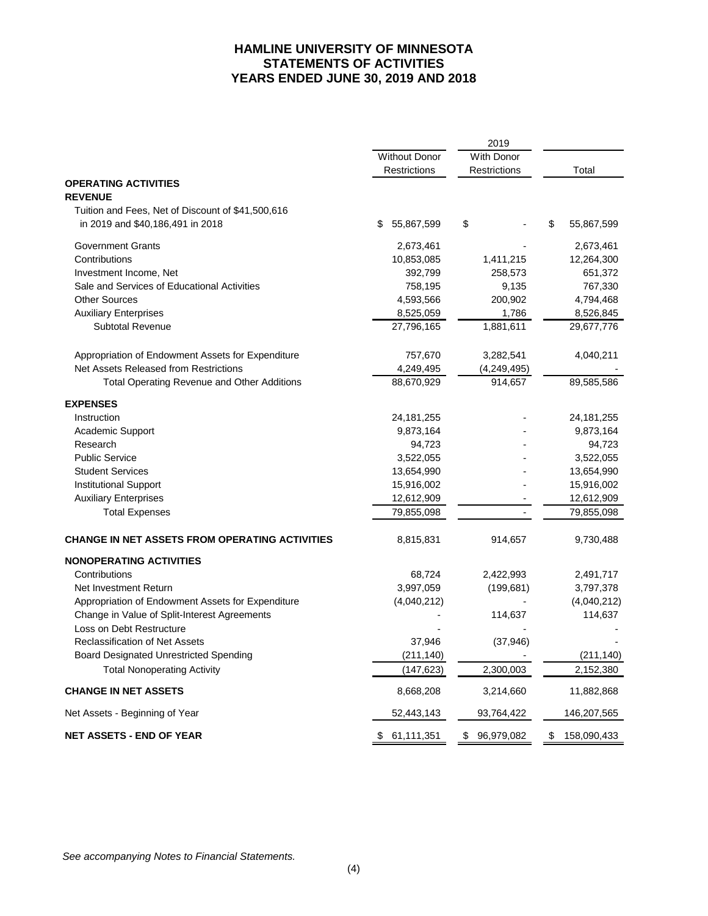#### **HAMLINE UNIVERSITY OF MINNESOTA STATEMENTS OF ACTIVITIES YEARS ENDED JUNE 30, 2019 AND 2018**

|                                                                          |                      | 2019             |                   |
|--------------------------------------------------------------------------|----------------------|------------------|-------------------|
|                                                                          | <b>Without Donor</b> | With Donor       |                   |
|                                                                          | <b>Restrictions</b>  | Restrictions     | Total             |
| <b>OPERATING ACTIVITIES</b>                                              |                      |                  |                   |
| <b>REVENUE</b>                                                           |                      |                  |                   |
| Tuition and Fees, Net of Discount of \$41,500,616                        |                      |                  |                   |
| in 2019 and \$40,186,491 in 2018                                         | 55,867,599<br>\$     | \$               | \$<br>55,867,599  |
| <b>Government Grants</b>                                                 | 2,673,461            |                  | 2,673,461         |
| Contributions                                                            | 10,853,085           | 1,411,215        | 12,264,300        |
| Investment Income, Net                                                   | 392,799              | 258,573          | 651,372           |
| Sale and Services of Educational Activities                              | 758,195              | 9,135            | 767,330           |
| <b>Other Sources</b>                                                     | 4,593,566            | 200,902          | 4,794,468         |
| <b>Auxiliary Enterprises</b>                                             | 8,525,059            | 1,786            | 8,526,845         |
| <b>Subtotal Revenue</b>                                                  | 27,796,165           | 1,881,611        | 29,677,776        |
| Appropriation of Endowment Assets for Expenditure                        | 757,670              | 3,282,541        | 4,040,211         |
| Net Assets Released from Restrictions                                    | 4,249,495            | (4,249,495)      |                   |
| <b>Total Operating Revenue and Other Additions</b>                       | 88,670,929           | 914,657          | 89,585,586        |
| <b>EXPENSES</b>                                                          |                      |                  |                   |
| Instruction                                                              | 24, 181, 255         |                  | 24, 181, 255      |
| Academic Support                                                         | 9,873,164            |                  | 9,873,164         |
| Research                                                                 | 94,723               |                  | 94,723            |
| <b>Public Service</b>                                                    | 3,522,055            |                  | 3,522,055         |
| <b>Student Services</b>                                                  | 13,654,990           |                  | 13,654,990        |
| <b>Institutional Support</b>                                             | 15,916,002           |                  | 15,916,002        |
| <b>Auxiliary Enterprises</b>                                             | 12,612,909           | $\blacksquare$   | 12,612,909        |
| <b>Total Expenses</b>                                                    | 79,855,098           |                  | 79,855,098        |
| <b>CHANGE IN NET ASSETS FROM OPERATING ACTIVITIES</b>                    | 8,815,831            | 914,657          | 9,730,488         |
| <b>NONOPERATING ACTIVITIES</b>                                           |                      |                  |                   |
| Contributions                                                            | 68,724               | 2,422,993        | 2,491,717         |
| Net Investment Return                                                    | 3,997,059            | (199, 681)       | 3,797,378         |
| Appropriation of Endowment Assets for Expenditure                        | (4,040,212)          |                  | (4,040,212)       |
| Change in Value of Split-Interest Agreements<br>Loss on Debt Restructure |                      | 114,637          | 114,637           |
| <b>Reclassification of Net Assets</b>                                    | 37,946               | (37, 946)        |                   |
| <b>Board Designated Unrestricted Spending</b>                            | (211, 140)           |                  | (211, 140)        |
|                                                                          |                      |                  |                   |
| <b>Total Nonoperating Activity</b>                                       | (147, 623)           | 2,300,003        | 2,152,380         |
| <b>CHANGE IN NET ASSETS</b>                                              | 8,668,208            | 3,214,660        | 11,882,868        |
| Net Assets - Beginning of Year                                           | 52,443,143           | 93,764,422       | 146,207,565       |
| <b>NET ASSETS - END OF YEAR</b>                                          | \$<br>61,111,351     | 96,979,082<br>\$ | \$<br>158,090,433 |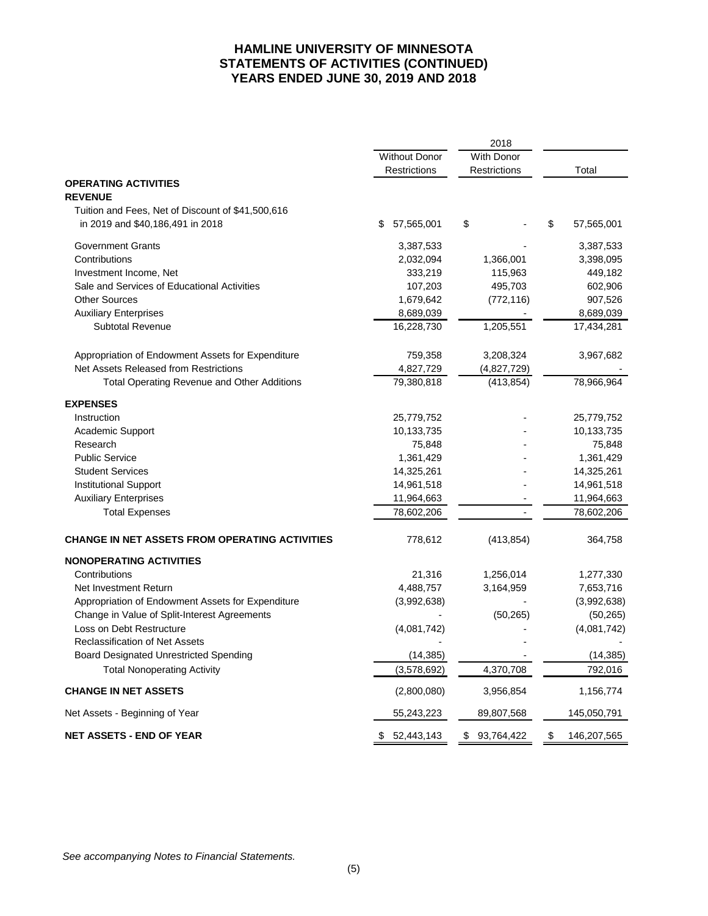### **HAMLINE UNIVERSITY OF MINNESOTA STATEMENTS OF ACTIVITIES (CONTINUED) YEARS ENDED JUNE 30, 2019 AND 2018**

|                                                       |                      | 2018              |                   |
|-------------------------------------------------------|----------------------|-------------------|-------------------|
|                                                       | <b>Without Donor</b> | <b>With Donor</b> |                   |
|                                                       | Restrictions         | Restrictions      | Total             |
| <b>OPERATING ACTIVITIES</b>                           |                      |                   |                   |
| <b>REVENUE</b>                                        |                      |                   |                   |
| Tuition and Fees, Net of Discount of \$41,500,616     |                      |                   |                   |
| in 2019 and \$40,186,491 in 2018                      | \$<br>57,565,001     | \$                | \$<br>57,565,001  |
| <b>Government Grants</b>                              | 3,387,533            |                   | 3,387,533         |
| Contributions                                         | 2,032,094            | 1,366,001         | 3,398,095         |
| Investment Income, Net                                | 333,219              | 115,963           | 449,182           |
| Sale and Services of Educational Activities           | 107,203              | 495,703           | 602,906           |
| <b>Other Sources</b>                                  | 1,679,642            | (772, 116)        | 907,526           |
| <b>Auxiliary Enterprises</b>                          | 8,689,039            |                   | 8,689,039         |
| <b>Subtotal Revenue</b>                               | 16,228,730           | 1,205,551         | 17,434,281        |
| Appropriation of Endowment Assets for Expenditure     | 759,358              | 3,208,324         | 3,967,682         |
| Net Assets Released from Restrictions                 | 4,827,729            | (4,827,729)       |                   |
| <b>Total Operating Revenue and Other Additions</b>    | 79,380,818           | (413, 854)        | 78,966,964        |
| <b>EXPENSES</b>                                       |                      |                   |                   |
| Instruction                                           | 25,779,752           |                   | 25,779,752        |
| Academic Support                                      | 10,133,735           |                   | 10,133,735        |
| Research                                              | 75,848               |                   | 75,848            |
| <b>Public Service</b>                                 | 1,361,429            |                   | 1,361,429         |
| <b>Student Services</b>                               | 14,325,261           |                   | 14,325,261        |
| <b>Institutional Support</b>                          | 14,961,518           |                   | 14,961,518        |
| <b>Auxiliary Enterprises</b>                          | 11,964,663           |                   | 11,964,663        |
| <b>Total Expenses</b>                                 | 78,602,206           |                   | 78,602,206        |
| <b>CHANGE IN NET ASSETS FROM OPERATING ACTIVITIES</b> | 778,612              | (413, 854)        | 364,758           |
| <b>NONOPERATING ACTIVITIES</b>                        |                      |                   |                   |
| Contributions                                         | 21,316               | 1,256,014         | 1,277,330         |
| Net Investment Return                                 | 4,488,757            | 3,164,959         | 7,653,716         |
| Appropriation of Endowment Assets for Expenditure     | (3,992,638)          |                   | (3,992,638)       |
| Change in Value of Split-Interest Agreements          |                      | (50, 265)         | (50, 265)         |
| Loss on Debt Restructure                              | (4,081,742)          |                   | (4,081,742)       |
| <b>Reclassification of Net Assets</b>                 |                      |                   |                   |
| <b>Board Designated Unrestricted Spending</b>         | (14, 385)            |                   | (14, 385)         |
| <b>Total Nonoperating Activity</b>                    | (3,578,692)          | 4,370,708         | 792,016           |
| <b>CHANGE IN NET ASSETS</b>                           | (2,800,080)          | 3,956,854         | 1,156,774         |
| Net Assets - Beginning of Year                        | 55,243,223           | 89,807,568        | 145,050,791       |
| <b>NET ASSETS - END OF YEAR</b>                       | 52,443,143<br>\$     | \$<br>93,764,422  | \$<br>146,207,565 |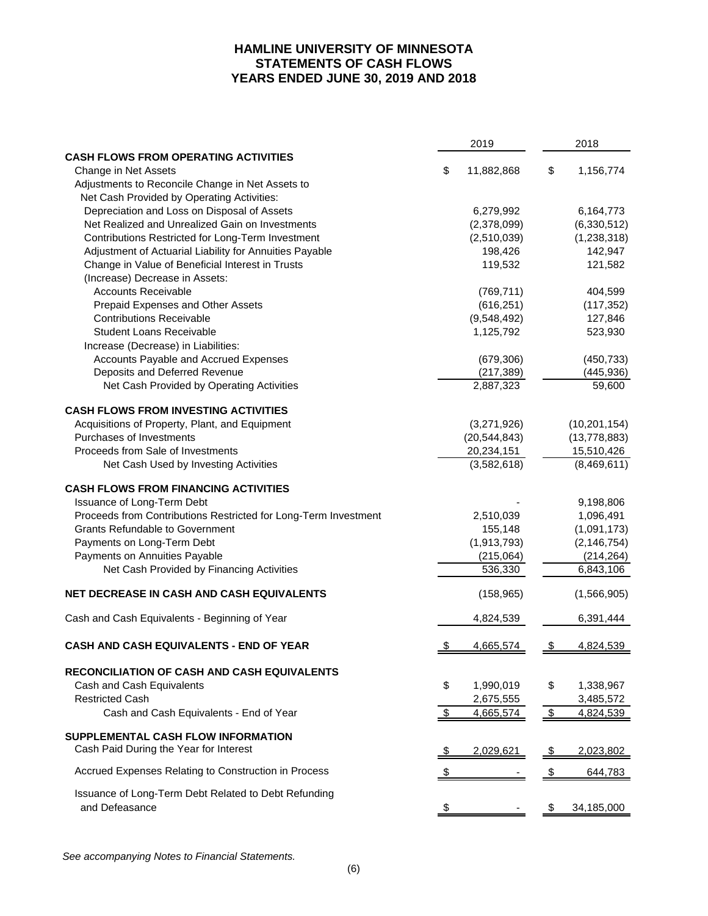### **HAMLINE UNIVERSITY OF MINNESOTA STATEMENTS OF CASH FLOWS YEARS ENDED JUNE 30, 2019 AND 2018**

|                                                                              |                | 2019           |                           | 2018           |
|------------------------------------------------------------------------------|----------------|----------------|---------------------------|----------------|
| <b>CASH FLOWS FROM OPERATING ACTIVITIES</b>                                  |                |                |                           |                |
| Change in Net Assets                                                         | \$             | 11,882,868     | \$                        | 1,156,774      |
| Adjustments to Reconcile Change in Net Assets to                             |                |                |                           |                |
| Net Cash Provided by Operating Activities:                                   |                |                |                           |                |
| Depreciation and Loss on Disposal of Assets                                  |                | 6,279,992      |                           | 6,164,773      |
| Net Realized and Unrealized Gain on Investments                              |                | (2,378,099)    |                           | (6,330,512)    |
| Contributions Restricted for Long-Term Investment                            |                | (2,510,039)    |                           | (1, 238, 318)  |
| Adjustment of Actuarial Liability for Annuities Payable                      |                | 198,426        |                           | 142,947        |
| Change in Value of Beneficial Interest in Trusts                             |                | 119,532        |                           | 121,582        |
| (Increase) Decrease in Assets:                                               |                |                |                           |                |
| <b>Accounts Receivable</b>                                                   |                | (769, 711)     |                           | 404,599        |
| Prepaid Expenses and Other Assets                                            |                | (616, 251)     |                           | (117, 352)     |
| <b>Contributions Receivable</b>                                              |                | (9,548,492)    |                           | 127,846        |
| <b>Student Loans Receivable</b>                                              |                | 1,125,792      |                           | 523,930        |
| Increase (Decrease) in Liabilities:                                          |                |                |                           |                |
| Accounts Payable and Accrued Expenses                                        |                | (679, 306)     |                           | (450, 733)     |
| Deposits and Deferred Revenue                                                |                | (217, 389)     |                           | (445,936)      |
| Net Cash Provided by Operating Activities                                    |                | 2,887,323      |                           | 59,600         |
| <b>CASH FLOWS FROM INVESTING ACTIVITIES</b>                                  |                |                |                           |                |
| Acquisitions of Property, Plant, and Equipment                               |                | (3,271,926)    |                           | (10, 201, 154) |
| Purchases of Investments                                                     |                | (20, 544, 843) |                           | (13, 778, 883) |
| Proceeds from Sale of Investments                                            |                | 20,234,151     |                           | 15,510,426     |
| Net Cash Used by Investing Activities                                        |                | (3,582,618)    |                           | (8,469,611)    |
| <b>CASH FLOWS FROM FINANCING ACTIVITIES</b>                                  |                |                |                           |                |
| Issuance of Long-Term Debt                                                   |                |                |                           | 9,198,806      |
| Proceeds from Contributions Restricted for Long-Term Investment              |                | 2,510,039      |                           | 1,096,491      |
| <b>Grants Refundable to Government</b>                                       |                | 155,148        |                           | (1,091,173)    |
| Payments on Long-Term Debt                                                   |                | (1,913,793)    |                           | (2, 146, 754)  |
| Payments on Annuities Payable                                                |                | (215,064)      |                           | (214, 264)     |
| Net Cash Provided by Financing Activities                                    |                | 536,330        |                           | 6,843,106      |
| <b>NET DECREASE IN CASH AND CASH EQUIVALENTS</b>                             |                | (158, 965)     |                           | (1,566,905)    |
| Cash and Cash Equivalents - Beginning of Year                                |                | 4,824,539      |                           | 6,391,444      |
| <b>CASH AND CASH EQUIVALENTS - END OF YEAR</b>                               | $\frac{1}{2}$  | 4,665,574      | $\boldsymbol{\mathsf{S}}$ | 4,824,539      |
| <b>RECONCILIATION OF CASH AND CASH EQUIVALENTS</b>                           |                |                |                           |                |
| Cash and Cash Equivalents                                                    | \$             | 1,990,019      | \$                        | 1,338,967      |
| <b>Restricted Cash</b>                                                       |                | 2,675,555      |                           | 3,485,572      |
| Cash and Cash Equivalents - End of Year                                      | \$             | 4,665,574      | $\frac{1}{2}$             | 4,824,539      |
|                                                                              |                |                |                           |                |
| SUPPLEMENTAL CASH FLOW INFORMATION<br>Cash Paid During the Year for Interest |                |                |                           |                |
|                                                                              | $\mathfrak{F}$ | 2,029,621      | $\boldsymbol{\mathsf{S}}$ | 2,023,802      |
| Accrued Expenses Relating to Construction in Process                         | S              |                | \$                        | 644,783        |
| Issuance of Long-Term Debt Related to Debt Refunding                         |                |                |                           |                |
| and Defeasance                                                               |                |                |                           | 34,185,000     |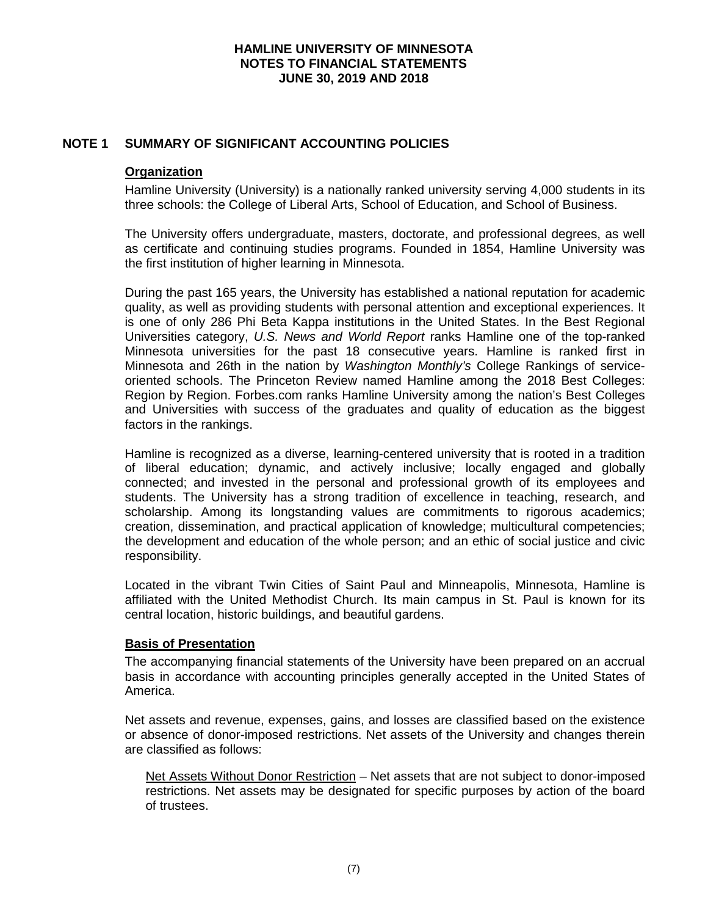### **NOTE 1 SUMMARY OF SIGNIFICANT ACCOUNTING POLICIES**

### **Organization**

Hamline University (University) is a nationally ranked university serving 4,000 students in its three schools: the College of Liberal Arts, School of Education, and School of Business.

The University offers undergraduate, masters, doctorate, and professional degrees, as well as certificate and continuing studies programs. Founded in 1854, Hamline University was the first institution of higher learning in Minnesota.

During the past 165 years, the University has established a national reputation for academic quality, as well as providing students with personal attention and exceptional experiences. It is one of only 286 Phi Beta Kappa institutions in the United States. In the Best Regional Universities category, *U.S. News and World Report* ranks Hamline one of the top-ranked Minnesota universities for the past 18 consecutive years. Hamline is ranked first in Minnesota and 26th in the nation by *Washington Monthly's* College Rankings of serviceoriented schools. The Princeton Review named Hamline among the 2018 Best Colleges: Region by Region. Forbes.com ranks Hamline University among the nation's Best Colleges and Universities with success of the graduates and quality of education as the biggest factors in the rankings.

Hamline is recognized as a diverse, learning-centered university that is rooted in a tradition of liberal education; dynamic, and actively inclusive; locally engaged and globally connected; and invested in the personal and professional growth of its employees and students. The University has a strong tradition of excellence in teaching, research, and scholarship. Among its longstanding values are commitments to rigorous academics; creation, dissemination, and practical application of knowledge; multicultural competencies; the development and education of the whole person; and an ethic of social justice and civic responsibility.

Located in the vibrant Twin Cities of Saint Paul and Minneapolis, Minnesota, Hamline is affiliated with the United Methodist Church. Its main campus in St. Paul is known for its central location, historic buildings, and beautiful gardens.

### **Basis of Presentation**

The accompanying financial statements of the University have been prepared on an accrual basis in accordance with accounting principles generally accepted in the United States of America.

Net assets and revenue, expenses, gains, and losses are classified based on the existence or absence of donor-imposed restrictions. Net assets of the University and changes therein are classified as follows:

Net Assets Without Donor Restriction - Net assets that are not subject to donor-imposed restrictions. Net assets may be designated for specific purposes by action of the board of trustees.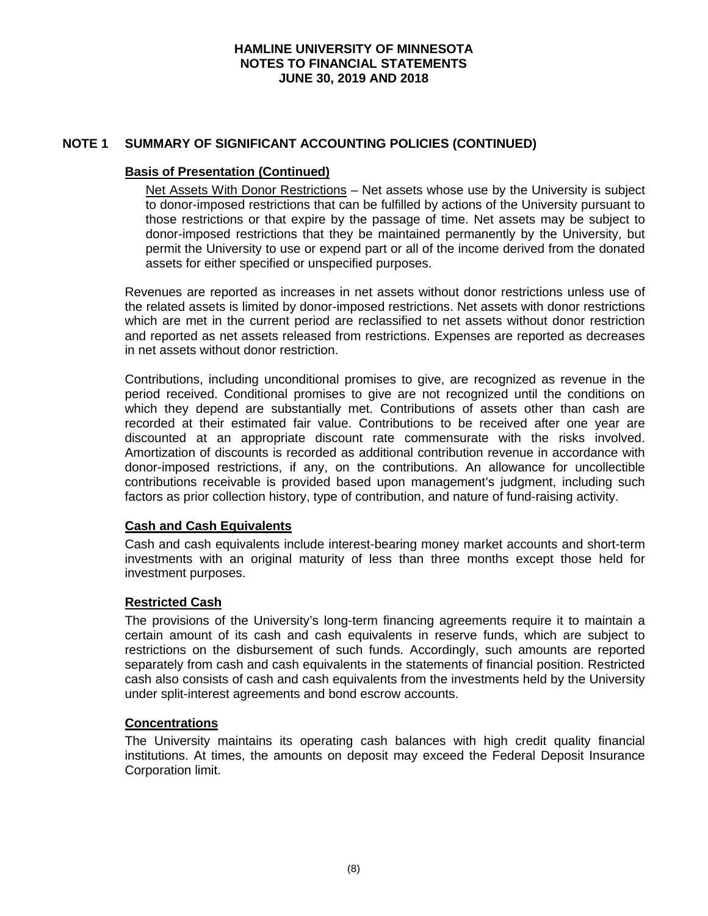### **NOTE 1 SUMMARY OF SIGNIFICANT ACCOUNTING POLICIES (CONTINUED)**

### **Basis of Presentation (Continued)**

Net Assets With Donor Restrictions - Net assets whose use by the University is subject to donor-imposed restrictions that can be fulfilled by actions of the University pursuant to those restrictions or that expire by the passage of time. Net assets may be subject to donor-imposed restrictions that they be maintained permanently by the University, but permit the University to use or expend part or all of the income derived from the donated assets for either specified or unspecified purposes.

Revenues are reported as increases in net assets without donor restrictions unless use of the related assets is limited by donor-imposed restrictions. Net assets with donor restrictions which are met in the current period are reclassified to net assets without donor restriction and reported as net assets released from restrictions. Expenses are reported as decreases in net assets without donor restriction.

Contributions, including unconditional promises to give, are recognized as revenue in the period received. Conditional promises to give are not recognized until the conditions on which they depend are substantially met. Contributions of assets other than cash are recorded at their estimated fair value. Contributions to be received after one year are discounted at an appropriate discount rate commensurate with the risks involved. Amortization of discounts is recorded as additional contribution revenue in accordance with donor-imposed restrictions, if any, on the contributions. An allowance for uncollectible contributions receivable is provided based upon management's judgment, including such factors as prior collection history, type of contribution, and nature of fund-raising activity.

### **Cash and Cash Equivalents**

Cash and cash equivalents include interest-bearing money market accounts and short-term investments with an original maturity of less than three months except those held for investment purposes.

#### **Restricted Cash**

The provisions of the University's long-term financing agreements require it to maintain a certain amount of its cash and cash equivalents in reserve funds, which are subject to restrictions on the disbursement of such funds. Accordingly, such amounts are reported separately from cash and cash equivalents in the statements of financial position. Restricted cash also consists of cash and cash equivalents from the investments held by the University under split-interest agreements and bond escrow accounts.

#### **Concentrations**

The University maintains its operating cash balances with high credit quality financial institutions. At times, the amounts on deposit may exceed the Federal Deposit Insurance Corporation limit.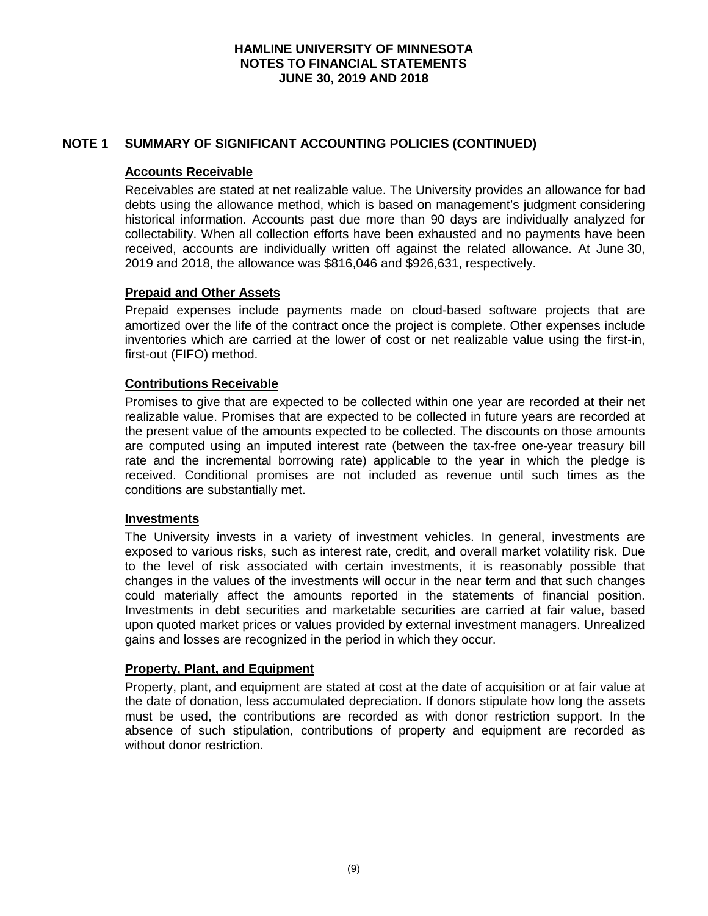### **NOTE 1 SUMMARY OF SIGNIFICANT ACCOUNTING POLICIES (CONTINUED)**

### **Accounts Receivable**

Receivables are stated at net realizable value. The University provides an allowance for bad debts using the allowance method, which is based on management's judgment considering historical information. Accounts past due more than 90 days are individually analyzed for collectability. When all collection efforts have been exhausted and no payments have been received, accounts are individually written off against the related allowance. At June 30, 2019 and 2018, the allowance was \$816,046 and \$926,631, respectively.

### **Prepaid and Other Assets**

Prepaid expenses include payments made on cloud-based software projects that are amortized over the life of the contract once the project is complete. Other expenses include inventories which are carried at the lower of cost or net realizable value using the first-in, first-out (FIFO) method.

### **Contributions Receivable**

Promises to give that are expected to be collected within one year are recorded at their net realizable value. Promises that are expected to be collected in future years are recorded at the present value of the amounts expected to be collected. The discounts on those amounts are computed using an imputed interest rate (between the tax-free one-year treasury bill rate and the incremental borrowing rate) applicable to the year in which the pledge is received. Conditional promises are not included as revenue until such times as the conditions are substantially met.

#### **Investments**

The University invests in a variety of investment vehicles. In general, investments are exposed to various risks, such as interest rate, credit, and overall market volatility risk. Due to the level of risk associated with certain investments, it is reasonably possible that changes in the values of the investments will occur in the near term and that such changes could materially affect the amounts reported in the statements of financial position. Investments in debt securities and marketable securities are carried at fair value, based upon quoted market prices or values provided by external investment managers. Unrealized gains and losses are recognized in the period in which they occur.

#### **Property, Plant, and Equipment**

Property, plant, and equipment are stated at cost at the date of acquisition or at fair value at the date of donation, less accumulated depreciation. If donors stipulate how long the assets must be used, the contributions are recorded as with donor restriction support. In the absence of such stipulation, contributions of property and equipment are recorded as without donor restriction.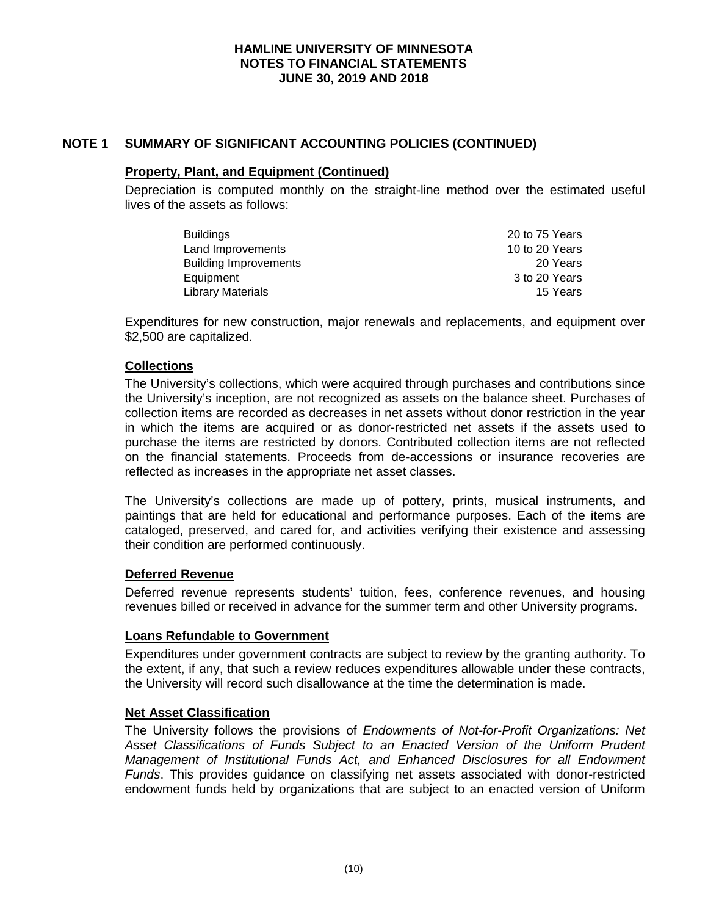### **NOTE 1 SUMMARY OF SIGNIFICANT ACCOUNTING POLICIES (CONTINUED)**

### **Property, Plant, and Equipment (Continued)**

Depreciation is computed monthly on the straight-line method over the estimated useful lives of the assets as follows:

| <b>Buildings</b>             | 20 to 75 Years |
|------------------------------|----------------|
| Land Improvements            | 10 to 20 Years |
| <b>Building Improvements</b> | 20 Years       |
| Equipment                    | 3 to 20 Years  |
| <b>Library Materials</b>     | 15 Years       |

Expenditures for new construction, major renewals and replacements, and equipment over \$2,500 are capitalized.

### **Collections**

The University's collections, which were acquired through purchases and contributions since the University's inception, are not recognized as assets on the balance sheet. Purchases of collection items are recorded as decreases in net assets without donor restriction in the year in which the items are acquired or as donor-restricted net assets if the assets used to purchase the items are restricted by donors. Contributed collection items are not reflected on the financial statements. Proceeds from de-accessions or insurance recoveries are reflected as increases in the appropriate net asset classes.

The University's collections are made up of pottery, prints, musical instruments, and paintings that are held for educational and performance purposes. Each of the items are cataloged, preserved, and cared for, and activities verifying their existence and assessing their condition are performed continuously.

### **Deferred Revenue**

Deferred revenue represents students' tuition, fees, conference revenues, and housing revenues billed or received in advance for the summer term and other University programs.

### **Loans Refundable to Government**

Expenditures under government contracts are subject to review by the granting authority. To the extent, if any, that such a review reduces expenditures allowable under these contracts, the University will record such disallowance at the time the determination is made.

#### **Net Asset Classification**

The University follows the provisions of *Endowments of Not-for-Profit Organizations: Net Asset Classifications of Funds Subject to an Enacted Version of the Uniform Prudent Management of Institutional Funds Act, and Enhanced Disclosures for all Endowment Funds*. This provides guidance on classifying net assets associated with donor-restricted endowment funds held by organizations that are subject to an enacted version of Uniform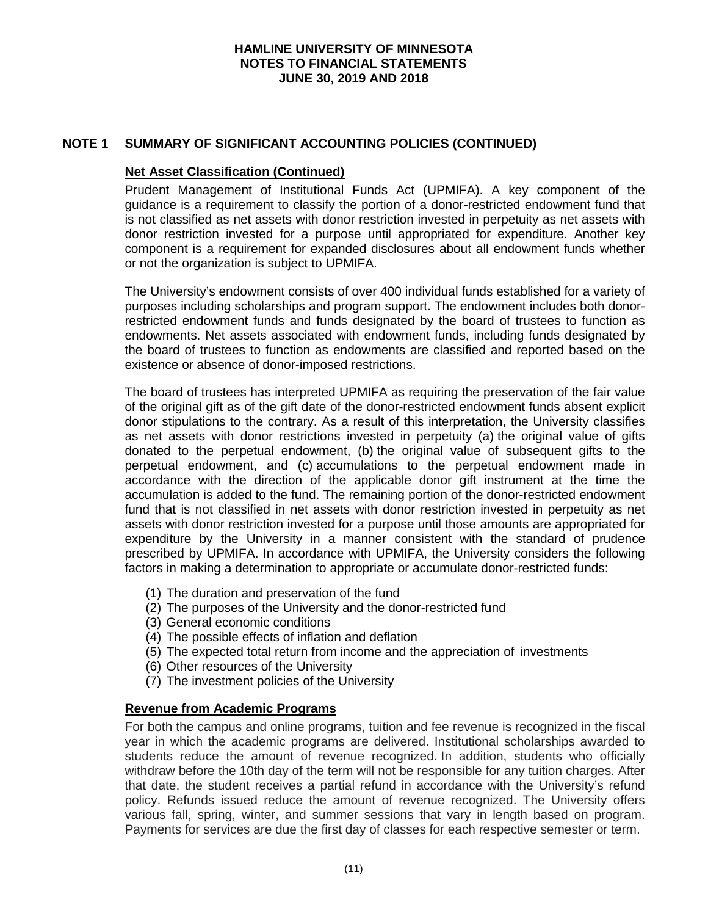### **NOTE 1 SUMMARY OF SIGNIFICANT ACCOUNTING POLICIES (CONTINUED)**

### **Net Asset Classification (Continued)**

Prudent Management of Institutional Funds Act (UPMIFA). A key component of the guidance is a requirement to classify the portion of a donor-restricted endowment fund that is not classified as net assets with donor restriction invested in perpetuity as net assets with donor restriction invested for a purpose until appropriated for expenditure. Another key component is a requirement for expanded disclosures about all endowment funds whether or not the organization is subject to UPMIFA.

The University's endowment consists of over 400 individual funds established for a variety of purposes including scholarships and program support. The endowment includes both donorrestricted endowment funds and funds designated by the board of trustees to function as endowments. Net assets associated with endowment funds, including funds designated by the board of trustees to function as endowments are classified and reported based on the existence or absence of donor-imposed restrictions.

The board of trustees has interpreted UPMIFA as requiring the preservation of the fair value of the original gift as of the gift date of the donor-restricted endowment funds absent explicit donor stipulations to the contrary. As a result of this interpretation, the University classifies as net assets with donor restrictions invested in perpetuity (a) the original value of gifts donated to the perpetual endowment, (b) the original value of subsequent gifts to the perpetual endowment, and (c) accumulations to the perpetual endowment made in accordance with the direction of the applicable donor gift instrument at the time the accumulation is added to the fund. The remaining portion of the donor-restricted endowment fund that is not classified in net assets with donor restriction invested in perpetuity as net assets with donor restriction invested for a purpose until those amounts are appropriated for expenditure by the University in a manner consistent with the standard of prudence prescribed by UPMIFA. In accordance with UPMIFA, the University considers the following factors in making a determination to appropriate or accumulate donor-restricted funds:

- (1) The duration and preservation of the fund
- (2) The purposes of the University and the donor-restricted fund
- (3) General economic conditions
- (4) The possible effects of inflation and deflation
- (5) The expected total return from income and the appreciation of investments
- (6) Other resources of the University
- (7) The investment policies of the University

### **Revenue from Academic Programs**

For both the campus and online programs, tuition and fee revenue is recognized in the fiscal year in which the academic programs are delivered. Institutional scholarships awarded to students reduce the amount of revenue recognized. In addition, students who officially withdraw before the 10th day of the term will not be responsible for any tuition charges. After that date, the student receives a partial refund in accordance with the University's refund policy. Refunds issued reduce the amount of revenue recognized. The University offers various fall, spring, winter, and summer sessions that vary in length based on program. Payments for services are due the first day of classes for each respective semester or term.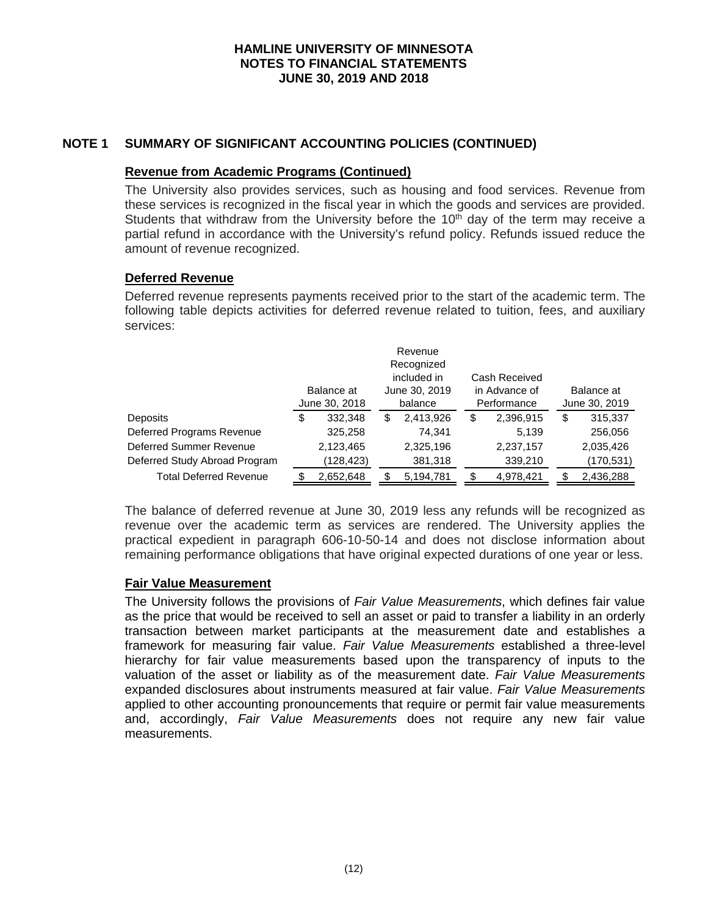### **NOTE 1 SUMMARY OF SIGNIFICANT ACCOUNTING POLICIES (CONTINUED)**

### **Revenue from Academic Programs (Continued)**

The University also provides services, such as housing and food services. Revenue from these services is recognized in the fiscal year in which the goods and services are provided. Students that withdraw from the University before the  $10<sup>th</sup>$  day of the term may receive a partial refund in accordance with the University's refund policy. Refunds issued reduce the amount of revenue recognized.

### **Deferred Revenue**

Deferred revenue represents payments received prior to the start of the academic term. The following table depicts activities for deferred revenue related to tuition, fees, and auxiliary services:

|                               | Balance at<br>June 30, 2018 |           | Revenue<br>Recognized<br>included in<br>June 30, 2019<br>balance |           | Cash Received<br>in Advance of<br>Performance |           | Balance at<br>June 30, 2019 |  |
|-------------------------------|-----------------------------|-----------|------------------------------------------------------------------|-----------|-----------------------------------------------|-----------|-----------------------------|--|
| Deposits                      | \$                          | 332,348   | \$                                                               | 2,413,926 | \$                                            | 2,396,915 | \$<br>315,337               |  |
| Deferred Programs Revenue     |                             | 325,258   |                                                                  | 74,341    |                                               | 5,139     | 256,056                     |  |
| Deferred Summer Revenue       |                             | 2,123,465 |                                                                  | 2,325,196 |                                               | 2,237,157 | 2,035,426                   |  |
| Deferred Study Abroad Program |                             | (128,423) |                                                                  | 381,318   |                                               | 339,210   | (170,531)                   |  |
| <b>Total Deferred Revenue</b> |                             | 2,652,648 |                                                                  | 5,194,781 |                                               | 4,978,421 | 2,436,288                   |  |

The balance of deferred revenue at June 30, 2019 less any refunds will be recognized as revenue over the academic term as services are rendered. The University applies the practical expedient in paragraph 606-10-50-14 and does not disclose information about remaining performance obligations that have original expected durations of one year or less.

### **Fair Value Measurement**

The University follows the provisions of *Fair Value Measurements*, which defines fair value as the price that would be received to sell an asset or paid to transfer a liability in an orderly transaction between market participants at the measurement date and establishes a framework for measuring fair value. *Fair Value Measurements* established a three-level hierarchy for fair value measurements based upon the transparency of inputs to the valuation of the asset or liability as of the measurement date. *Fair Value Measurements* expanded disclosures about instruments measured at fair value. *Fair Value Measurements* applied to other accounting pronouncements that require or permit fair value measurements and, accordingly, *Fair Value Measurements* does not require any new fair value measurements.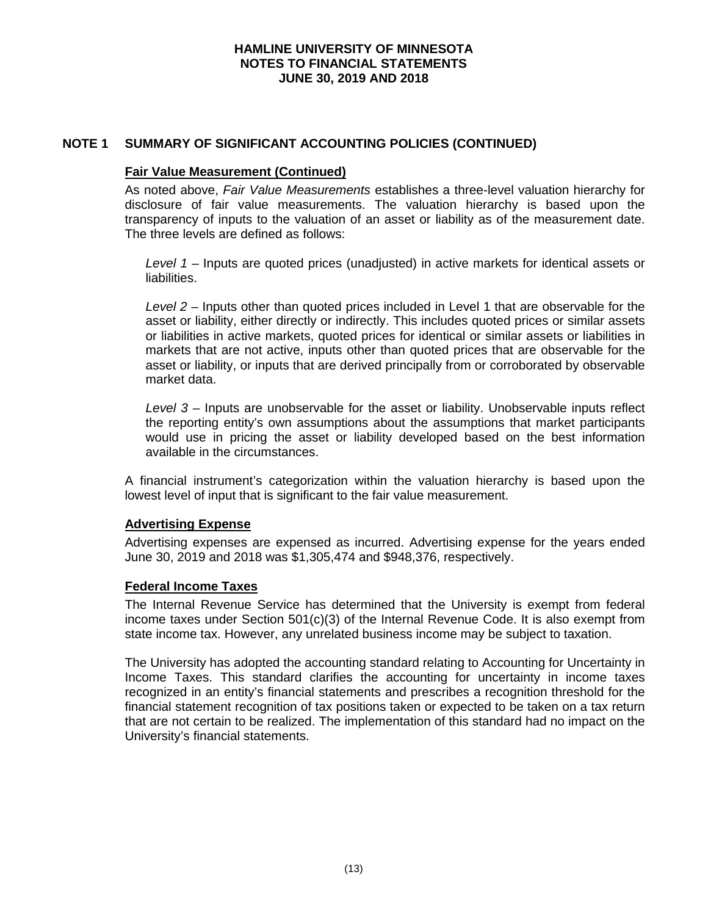### **NOTE 1 SUMMARY OF SIGNIFICANT ACCOUNTING POLICIES (CONTINUED)**

#### **Fair Value Measurement (Continued)**

As noted above, *Fair Value Measurements* establishes a three-level valuation hierarchy for disclosure of fair value measurements. The valuation hierarchy is based upon the transparency of inputs to the valuation of an asset or liability as of the measurement date. The three levels are defined as follows:

*Level 1* – Inputs are quoted prices (unadjusted) in active markets for identical assets or liabilities.

*Level 2* – Inputs other than quoted prices included in Level 1 that are observable for the asset or liability, either directly or indirectly. This includes quoted prices or similar assets or liabilities in active markets, quoted prices for identical or similar assets or liabilities in markets that are not active, inputs other than quoted prices that are observable for the asset or liability, or inputs that are derived principally from or corroborated by observable market data.

*Level 3* – Inputs are unobservable for the asset or liability. Unobservable inputs reflect the reporting entity's own assumptions about the assumptions that market participants would use in pricing the asset or liability developed based on the best information available in the circumstances.

A financial instrument's categorization within the valuation hierarchy is based upon the lowest level of input that is significant to the fair value measurement.

### **Advertising Expense**

Advertising expenses are expensed as incurred. Advertising expense for the years ended June 30, 2019 and 2018 was \$1,305,474 and \$948,376, respectively.

#### **Federal Income Taxes**

The Internal Revenue Service has determined that the University is exempt from federal income taxes under Section 501(c)(3) of the Internal Revenue Code. It is also exempt from state income tax. However, any unrelated business income may be subject to taxation.

The University has adopted the accounting standard relating to Accounting for Uncertainty in Income Taxes. This standard clarifies the accounting for uncertainty in income taxes recognized in an entity's financial statements and prescribes a recognition threshold for the financial statement recognition of tax positions taken or expected to be taken on a tax return that are not certain to be realized. The implementation of this standard had no impact on the University's financial statements.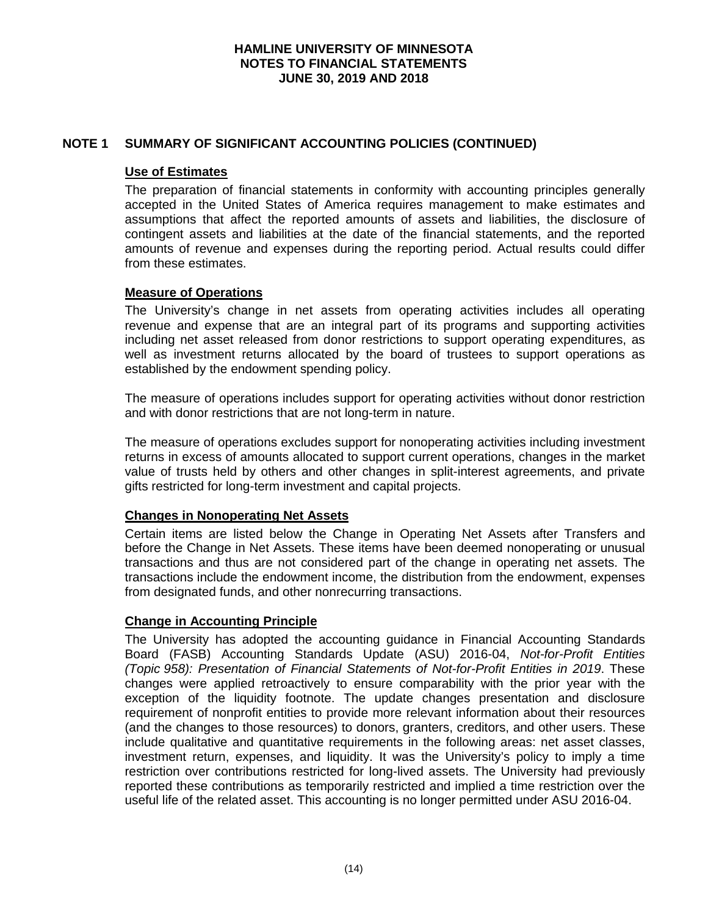### **NOTE 1 SUMMARY OF SIGNIFICANT ACCOUNTING POLICIES (CONTINUED)**

#### **Use of Estimates**

The preparation of financial statements in conformity with accounting principles generally accepted in the United States of America requires management to make estimates and assumptions that affect the reported amounts of assets and liabilities, the disclosure of contingent assets and liabilities at the date of the financial statements, and the reported amounts of revenue and expenses during the reporting period. Actual results could differ from these estimates.

### **Measure of Operations**

The University's change in net assets from operating activities includes all operating revenue and expense that are an integral part of its programs and supporting activities including net asset released from donor restrictions to support operating expenditures, as well as investment returns allocated by the board of trustees to support operations as established by the endowment spending policy.

The measure of operations includes support for operating activities without donor restriction and with donor restrictions that are not long-term in nature.

The measure of operations excludes support for nonoperating activities including investment returns in excess of amounts allocated to support current operations, changes in the market value of trusts held by others and other changes in split-interest agreements, and private gifts restricted for long-term investment and capital projects.

### **Changes in Nonoperating Net Assets**

Certain items are listed below the Change in Operating Net Assets after Transfers and before the Change in Net Assets. These items have been deemed nonoperating or unusual transactions and thus are not considered part of the change in operating net assets. The transactions include the endowment income, the distribution from the endowment, expenses from designated funds, and other nonrecurring transactions.

### **Change in Accounting Principle**

The University has adopted the accounting guidance in Financial Accounting Standards Board (FASB) Accounting Standards Update (ASU) 2016-04, *Not-for-Profit Entities (Topic 958): Presentation of Financial Statements of Not-for-Profit Entities in 2019*. These changes were applied retroactively to ensure comparability with the prior year with the exception of the liquidity footnote. The update changes presentation and disclosure requirement of nonprofit entities to provide more relevant information about their resources (and the changes to those resources) to donors, granters, creditors, and other users. These include qualitative and quantitative requirements in the following areas: net asset classes, investment return, expenses, and liquidity. It was the University's policy to imply a time restriction over contributions restricted for long-lived assets. The University had previously reported these contributions as temporarily restricted and implied a time restriction over the useful life of the related asset. This accounting is no longer permitted under ASU 2016-04.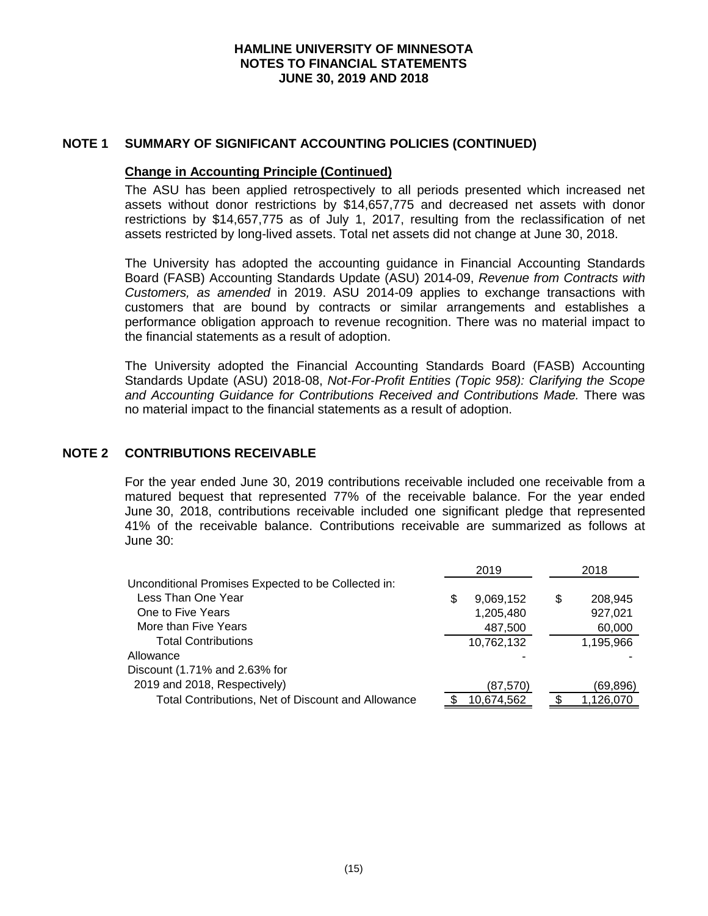#### **NOTE 1 SUMMARY OF SIGNIFICANT ACCOUNTING POLICIES (CONTINUED)**

#### **Change in Accounting Principle (Continued)**

The ASU has been applied retrospectively to all periods presented which increased net assets without donor restrictions by \$14,657,775 and decreased net assets with donor restrictions by \$14,657,775 as of July 1, 2017, resulting from the reclassification of net assets restricted by long-lived assets. Total net assets did not change at June 30, 2018.

The University has adopted the accounting guidance in Financial Accounting Standards Board (FASB) Accounting Standards Update (ASU) 2014-09, *Revenue from Contracts with Customers, as amended* in 2019. ASU 2014-09 applies to exchange transactions with customers that are bound by contracts or similar arrangements and establishes a performance obligation approach to revenue recognition. There was no material impact to the financial statements as a result of adoption.

The University adopted the Financial Accounting Standards Board (FASB) Accounting Standards Update (ASU) 2018-08, *Not-For-Profit Entities (Topic 958): Clarifying the Scope and Accounting Guidance for Contributions Received and Contributions Made.* There was no material impact to the financial statements as a result of adoption.

#### **NOTE 2 CONTRIBUTIONS RECEIVABLE**

For the year ended June 30, 2019 contributions receivable included one receivable from a matured bequest that represented 77% of the receivable balance. For the year ended June 30, 2018, contributions receivable included one significant pledge that represented 41% of the receivable balance. Contributions receivable are summarized as follows at June 30:

|                                                     | 2019 |            |   | 2018      |
|-----------------------------------------------------|------|------------|---|-----------|
| Unconditional Promises Expected to be Collected in: |      |            |   |           |
| Less Than One Year                                  | S    | 9,069,152  | S | 208,945   |
| One to Five Years                                   |      | 1,205,480  |   | 927,021   |
| More than Five Years                                |      | 487,500    |   | 60,000    |
| <b>Total Contributions</b>                          |      | 10,762,132 |   | 1,195,966 |
| Allowance                                           |      |            |   |           |
| Discount (1.71% and 2.63% for                       |      |            |   |           |
| 2019 and 2018, Respectively)                        |      | (87,570)   |   | (69, 896) |
| Total Contributions, Net of Discount and Allowance  |      | 10,674,562 |   | 1,126,070 |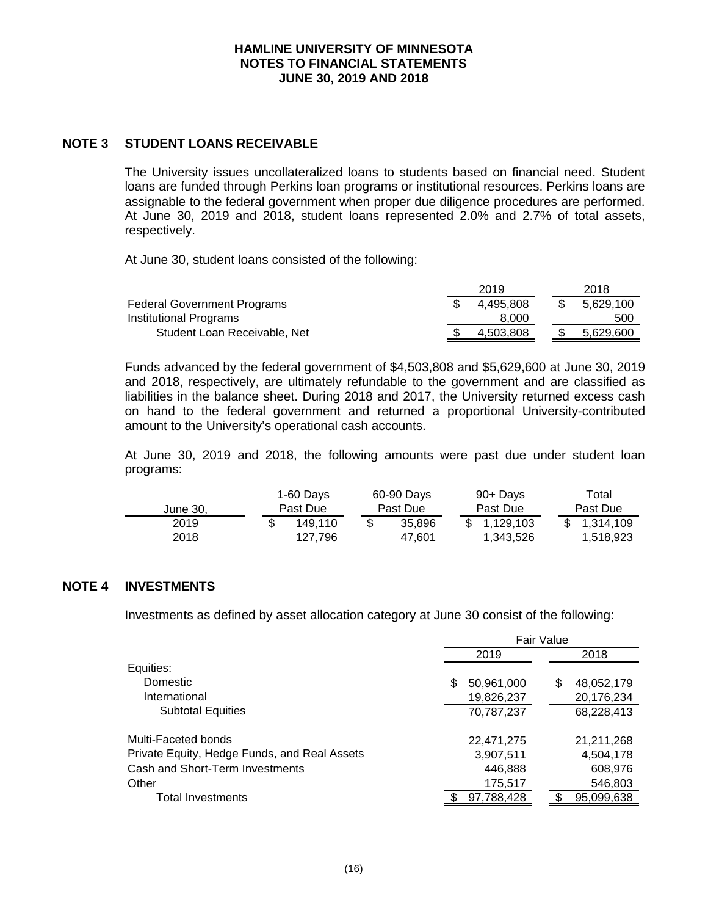### **NOTE 3 STUDENT LOANS RECEIVABLE**

The University issues uncollateralized loans to students based on financial need. Student loans are funded through Perkins loan programs or institutional resources. Perkins loans are assignable to the federal government when proper due diligence procedures are performed. At June 30, 2019 and 2018, student loans represented 2.0% and 2.7% of total assets, respectively.

At June 30, student loans consisted of the following:

|                                    | 2019      |  | 2018      |
|------------------------------------|-----------|--|-----------|
| <b>Federal Government Programs</b> | 4.495.808 |  | 5.629.100 |
| Institutional Programs             | 8.000     |  | 500       |
| Student Loan Receivable, Net       | 4,503,808 |  | 5,629,600 |

Funds advanced by the federal government of \$4,503,808 and \$5,629,600 at June 30, 2019 and 2018, respectively, are ultimately refundable to the government and are classified as liabilities in the balance sheet. During 2018 and 2017, the University returned excess cash on hand to the federal government and returned a proportional University-contributed amount to the University's operational cash accounts.

At June 30, 2019 and 2018, the following amounts were past due under student loan programs:

|          |          | 1-60 Days<br>60-90 Days |          |        |          | 90+ Days    | Total       |
|----------|----------|-------------------------|----------|--------|----------|-------------|-------------|
| June 30, | Past Due |                         | Past Due |        | Past Due |             | Past Due    |
| 2019     |          | 149.110                 |          | 35.896 |          | \$1.129.103 | \$1.314.109 |
| 2018     |          | 127.796                 |          | 47.601 |          | 1.343.526   | 1.518.923   |

### **NOTE 4 INVESTMENTS**

Investments as defined by asset allocation category at June 30 consist of the following:

|                                              | <b>Fair Value</b> |            |   |            |  |
|----------------------------------------------|-------------------|------------|---|------------|--|
|                                              |                   | 2019       |   | 2018       |  |
| Equities:                                    |                   |            |   |            |  |
| Domestic                                     | \$                | 50,961,000 | S | 48,052,179 |  |
| International                                |                   | 19,826,237 |   | 20,176,234 |  |
| <b>Subtotal Equities</b>                     |                   | 70,787,237 |   | 68,228,413 |  |
|                                              |                   |            |   |            |  |
| Multi-Faceted bonds                          |                   | 22,471,275 |   | 21,211,268 |  |
| Private Equity, Hedge Funds, and Real Assets |                   | 3,907,511  |   | 4,504,178  |  |
| Cash and Short-Term Investments              |                   | 446,888    |   | 608,976    |  |
| Other                                        |                   | 175,517    |   | 546,803    |  |
| Total Investments                            |                   | 97,788,428 |   | 95,099,638 |  |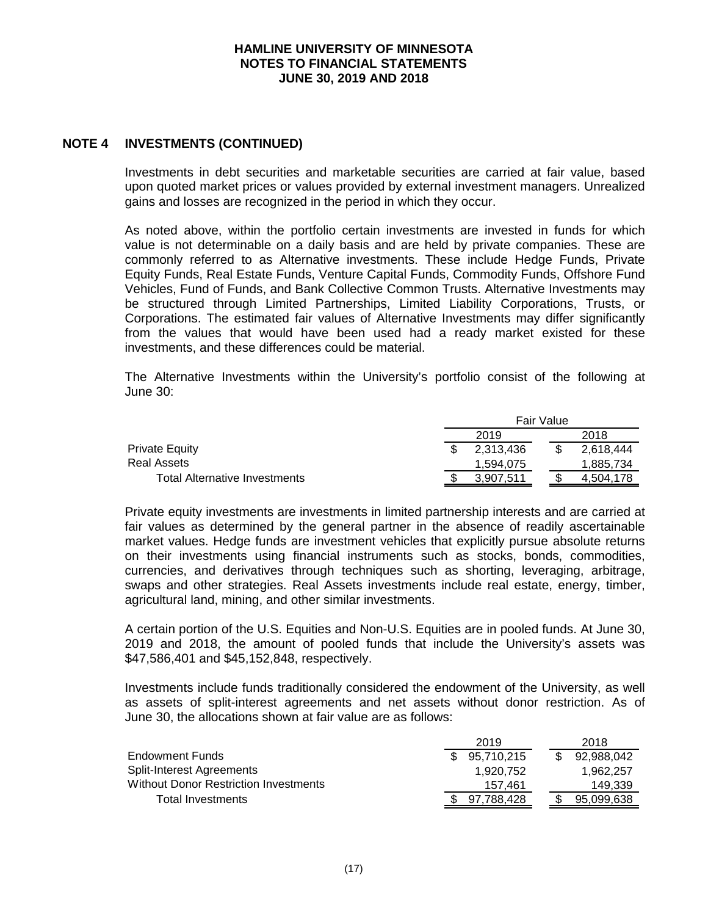### **NOTE 4 INVESTMENTS (CONTINUED)**

Investments in debt securities and marketable securities are carried at fair value, based upon quoted market prices or values provided by external investment managers. Unrealized gains and losses are recognized in the period in which they occur.

As noted above, within the portfolio certain investments are invested in funds for which value is not determinable on a daily basis and are held by private companies. These are commonly referred to as Alternative investments. These include Hedge Funds, Private Equity Funds, Real Estate Funds, Venture Capital Funds, Commodity Funds, Offshore Fund Vehicles, Fund of Funds, and Bank Collective Common Trusts. Alternative Investments may be structured through Limited Partnerships, Limited Liability Corporations, Trusts, or Corporations. The estimated fair values of Alternative Investments may differ significantly from the values that would have been used had a ready market existed for these investments, and these differences could be material.

The Alternative Investments within the University's portfolio consist of the following at June 30:

|                                      | Fair Value |  |  |           |  |  |
|--------------------------------------|------------|--|--|-----------|--|--|
|                                      | 2019       |  |  | 2018      |  |  |
| <b>Private Equity</b>                | 2,313,436  |  |  | 2,618,444 |  |  |
| Real Assets                          | 1.594.075  |  |  | 1.885.734 |  |  |
| <b>Total Alternative Investments</b> | 3.907.511  |  |  | 4.504.178 |  |  |

Private equity investments are investments in limited partnership interests and are carried at fair values as determined by the general partner in the absence of readily ascertainable market values. Hedge funds are investment vehicles that explicitly pursue absolute returns on their investments using financial instruments such as stocks, bonds, commodities, currencies, and derivatives through techniques such as shorting, leveraging, arbitrage, swaps and other strategies. Real Assets investments include real estate, energy, timber, agricultural land, mining, and other similar investments.

A certain portion of the U.S. Equities and Non-U.S. Equities are in pooled funds. At June 30, 2019 and 2018, the amount of pooled funds that include the University's assets was \$47,586,401 and \$45,152,848, respectively.

Investments include funds traditionally considered the endowment of the University, as well as assets of split-interest agreements and net assets without donor restriction. As of June 30, the allocations shown at fair value are as follows:

|                                       | 2019 |              |  | 2018       |
|---------------------------------------|------|--------------|--|------------|
| Endowment Funds                       |      | \$95,710,215 |  | 92.988.042 |
| <b>Split-Interest Agreements</b>      |      | 1.920.752    |  | 1,962,257  |
| Without Donor Restriction Investments |      | 157.461      |  | 149,339    |
| Total Investments                     |      | 97.788.428   |  | 95,099,638 |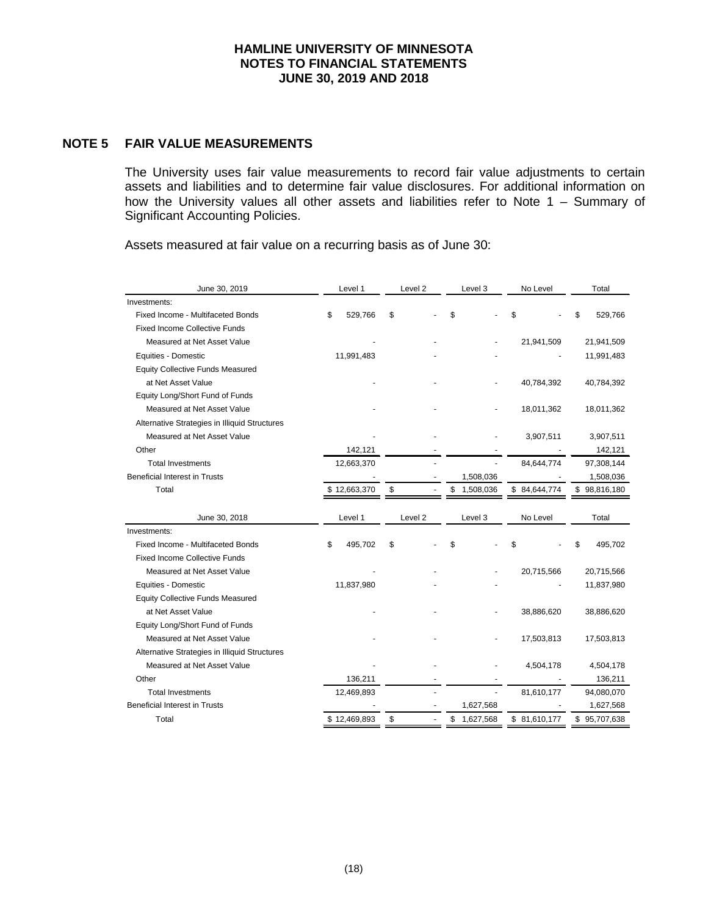### **NOTE 5 FAIR VALUE MEASUREMENTS**

The University uses fair value measurements to record fair value adjustments to certain assets and liabilities and to determine fair value disclosures. For additional information on how the University values all other assets and liabilities refer to Note 1 – Summary of Significant Accounting Policies.

Assets measured at fair value on a recurring basis as of June 30:

| June 30, 2019                                 | Level 1       | Level <sub>2</sub> | Level 3         | No Level     | Total          |  |
|-----------------------------------------------|---------------|--------------------|-----------------|--------------|----------------|--|
| Investments:                                  |               |                    |                 |              |                |  |
| Fixed Income - Multifaceted Bonds             | \$<br>529,766 | \$                 | \$              | \$           | 529,766<br>\$  |  |
| <b>Fixed Income Collective Funds</b>          |               |                    |                 |              |                |  |
| Measured at Net Asset Value                   |               |                    |                 | 21,941,509   | 21,941,509     |  |
| Equities - Domestic                           | 11,991,483    |                    |                 |              | 11,991,483     |  |
| <b>Equity Collective Funds Measured</b>       |               |                    |                 |              |                |  |
| at Net Asset Value                            |               |                    |                 | 40,784,392   | 40,784,392     |  |
| Equity Long/Short Fund of Funds               |               |                    |                 |              |                |  |
| Measured at Net Asset Value                   |               |                    |                 | 18,011,362   | 18,011,362     |  |
| Alternative Strategies in Illiquid Structures |               |                    |                 |              |                |  |
| Measured at Net Asset Value                   |               |                    |                 | 3,907,511    | 3,907,511      |  |
| Other                                         | 142,121       |                    |                 |              | 142,121        |  |
| <b>Total Investments</b>                      | 12,663,370    |                    |                 | 84,644,774   | 97,308,144     |  |
| <b>Beneficial Interest in Trusts</b>          |               |                    | 1,508,036       |              | 1,508,036      |  |
| Total                                         | \$12,663,370  | \$                 | \$<br>1,508,036 | \$84,644,774 | \$98,816,180   |  |
|                                               |               |                    |                 |              |                |  |
| June 30, 2018                                 | Level 1       | Level 2            | Level 3         | No Level     | Total          |  |
| Investments:                                  |               |                    |                 |              |                |  |
| Fixed Income - Multifaceted Bonds             | \$<br>495,702 | \$                 | \$              | \$           | \$.<br>495,702 |  |
| <b>Fixed Income Collective Funds</b>          |               |                    |                 |              |                |  |
| Measured at Net Asset Value                   |               |                    |                 |              |                |  |
| Equities - Domestic                           |               |                    |                 | 20,715,566   | 20,715,566     |  |
|                                               | 11,837,980    |                    |                 |              | 11,837,980     |  |
| <b>Equity Collective Funds Measured</b>       |               |                    |                 |              |                |  |
| at Net Asset Value                            |               |                    |                 | 38,886,620   | 38,886,620     |  |
| Equity Long/Short Fund of Funds               |               |                    |                 |              |                |  |
| Measured at Net Asset Value                   |               |                    |                 | 17,503,813   | 17,503,813     |  |
| Alternative Strategies in Illiquid Structures |               |                    |                 |              |                |  |
| Measured at Net Asset Value                   |               |                    |                 | 4,504,178    | 4,504,178      |  |
| Other                                         | 136,211       |                    |                 |              | 136,211        |  |
| <b>Total Investments</b>                      | 12,469,893    |                    |                 | 81,610,177   | 94,080,070     |  |
| <b>Beneficial Interest in Trusts</b>          |               |                    | 1,627,568       |              | 1,627,568      |  |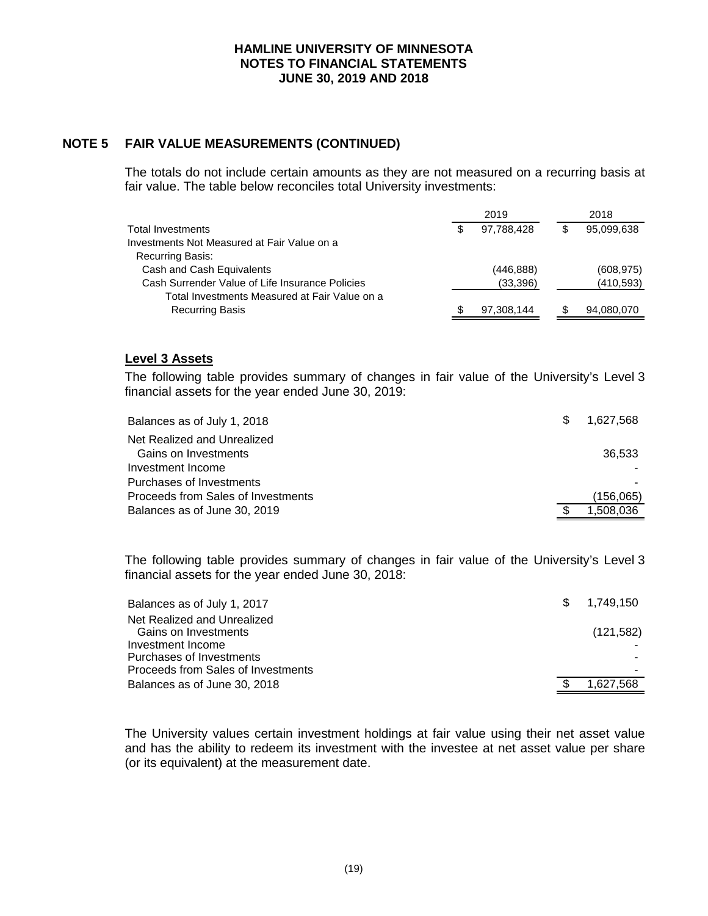### **NOTE 5 FAIR VALUE MEASUREMENTS (CONTINUED)**

The totals do not include certain amounts as they are not measured on a recurring basis at fair value. The table below reconciles total University investments:

|                                                 |   | 2019       | 2018       |
|-------------------------------------------------|---|------------|------------|
| Total Investments                               | S | 97,788,428 | 95,099,638 |
| Investments Not Measured at Fair Value on a     |   |            |            |
| <b>Recurring Basis:</b>                         |   |            |            |
| Cash and Cash Equivalents                       |   | (446, 888) | (608, 975) |
| Cash Surrender Value of Life Insurance Policies |   | (33, 396)  | (410,593)  |
| Total Investments Measured at Fair Value on a   |   |            |            |
| <b>Recurring Basis</b>                          |   | 97,308,144 | 94,080,070 |
|                                                 |   |            |            |

#### **Level 3 Assets**

The following table provides summary of changes in fair value of the University's Level 3 financial assets for the year ended June 30, 2019:

| 1.627.568  |
|------------|
|            |
| 36,533     |
|            |
|            |
| (156, 065) |
| 1.508.036  |
|            |

The following table provides summary of changes in fair value of the University's Level 3 financial assets for the year ended June 30, 2018:

| Balances as of July 1, 2017                         | S. | 1,749,150  |
|-----------------------------------------------------|----|------------|
| Net Realized and Unrealized<br>Gains on Investments |    | (121, 582) |
| Investment Income                                   |    |            |
| Purchases of Investments                            |    |            |
| Proceeds from Sales of Investments                  |    |            |
| Balances as of June 30, 2018                        |    | 1.627.568  |

The University values certain investment holdings at fair value using their net asset value and has the ability to redeem its investment with the investee at net asset value per share (or its equivalent) at the measurement date.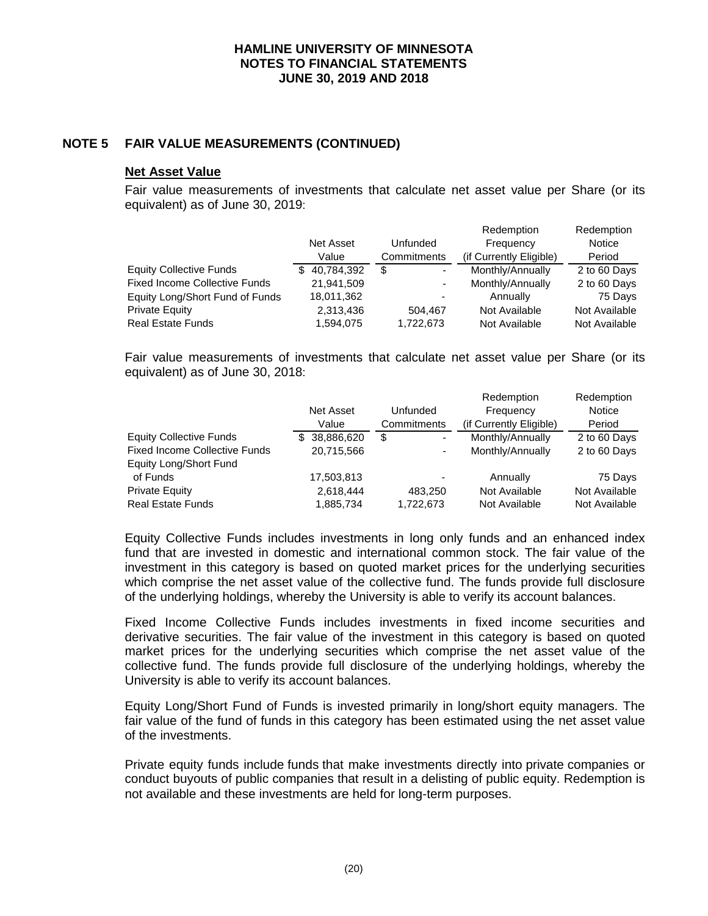### **NOTE 5 FAIR VALUE MEASUREMENTS (CONTINUED)**

#### **Net Asset Value**

Fair value measurements of investments that calculate net asset value per Share (or its equivalent) as of June 30, 2019:

|                                      | Net Asset<br>Value | Unfunded<br>Commitments | Redemption<br>Frequency<br>(if Currently Eligible) | Redemption<br><b>Notice</b><br>Period |
|--------------------------------------|--------------------|-------------------------|----------------------------------------------------|---------------------------------------|
| <b>Equity Collective Funds</b>       | 40,784,392<br>\$.  | \$<br>۰                 | Monthly/Annually                                   | 2 to 60 Days                          |
| <b>Fixed Income Collective Funds</b> | 21,941,509         | ۰                       | Monthly/Annually                                   | 2 to 60 Days                          |
| Equity Long/Short Fund of Funds      | 18,011,362         |                         | Annually                                           | 75 Days                               |
| <b>Private Equity</b>                | 2,313,436          | 504.467                 | Not Available                                      | Not Available                         |
| <b>Real Estate Funds</b>             | 1.594.075          | 1.722.673               | Not Available                                      | Not Available                         |

Fair value measurements of investments that calculate net asset value per Share (or its equivalent) as of June 30, 2018:

|                                      | Net Asset<br>Value | Unfunded<br>Commitments | Redemption<br>Frequency<br>(if Currently Eligible) | Redemption<br><b>Notice</b><br>Period |
|--------------------------------------|--------------------|-------------------------|----------------------------------------------------|---------------------------------------|
| <b>Equity Collective Funds</b>       | 38,886,620<br>S.   | S<br>۰                  | Monthly/Annually                                   | 2 to 60 Days                          |
| <b>Fixed Income Collective Funds</b> | 20,715,566         | ۰                       | Monthly/Annually                                   | 2 to 60 Days                          |
| Equity Long/Short Fund               |                    |                         |                                                    |                                       |
| of Funds                             | 17,503,813         |                         | Annually                                           | 75 Days                               |
| <b>Private Equity</b>                | 2,618,444          | 483.250                 | Not Available                                      | Not Available                         |
| Real Estate Funds                    | 1,885,734          | 1,722,673               | Not Available                                      | Not Available                         |

Equity Collective Funds includes investments in long only funds and an enhanced index fund that are invested in domestic and international common stock. The fair value of the investment in this category is based on quoted market prices for the underlying securities which comprise the net asset value of the collective fund. The funds provide full disclosure of the underlying holdings, whereby the University is able to verify its account balances.

Fixed Income Collective Funds includes investments in fixed income securities and derivative securities. The fair value of the investment in this category is based on quoted market prices for the underlying securities which comprise the net asset value of the collective fund. The funds provide full disclosure of the underlying holdings, whereby the University is able to verify its account balances.

Equity Long/Short Fund of Funds is invested primarily in long/short equity managers. The fair value of the fund of funds in this category has been estimated using the net asset value of the investments.

Private equity funds include funds that make investments directly into private companies or conduct buyouts of public companies that result in a delisting of public equity. Redemption is not available and these investments are held for long-term purposes.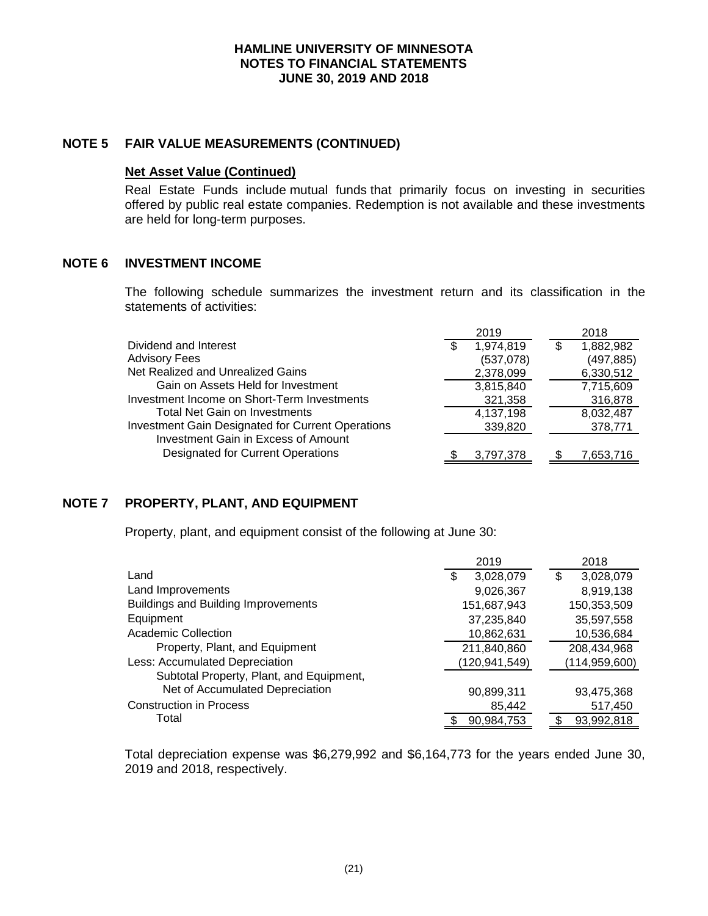#### **NOTE 5 FAIR VALUE MEASUREMENTS (CONTINUED)**

#### **Net Asset Value (Continued)**

Real Estate Funds include mutual funds that primarily focus on investing in securities offered by public real estate companies. Redemption is not available and these investments are held for long-term purposes.

### **NOTE 6 INVESTMENT INCOME**

The following schedule summarizes the investment return and its classification in the statements of activities:

|                                                          | 2019      | 2018             |
|----------------------------------------------------------|-----------|------------------|
| Dividend and Interest                                    | 1,974,819 | 1,882,982<br>\$. |
| <b>Advisory Fees</b>                                     | (537,078) | (497, 885)       |
| Net Realized and Unrealized Gains                        | 2,378,099 | 6,330,512        |
| Gain on Assets Held for Investment                       | 3,815,840 | 7,715,609        |
| Investment Income on Short-Term Investments              | 321,358   | 316,878          |
| <b>Total Net Gain on Investments</b>                     | 4,137,198 | 8,032,487        |
| <b>Investment Gain Designated for Current Operations</b> | 339,820   | 378,771          |
| <b>Investment Gain in Excess of Amount</b>               |           |                  |
| <b>Designated for Current Operations</b>                 | 3,797,378 | 7,653,716        |

### **NOTE 7 PROPERTY, PLANT, AND EQUIPMENT**

Property, plant, and equipment consist of the following at June 30:

|                                            | 2019            | 2018            |
|--------------------------------------------|-----------------|-----------------|
| Land                                       | 3,028,079<br>S  | 3,028,079<br>\$ |
| Land Improvements                          | 9,026,367       | 8,919,138       |
| <b>Buildings and Building Improvements</b> | 151,687,943     | 150,353,509     |
| Equipment                                  | 37,235,840      | 35,597,558      |
| Academic Collection                        | 10,862,631      | 10,536,684      |
| Property, Plant, and Equipment             | 211,840,860     | 208,434,968     |
| Less: Accumulated Depreciation             | (120, 941, 549) | (114, 959, 600) |
| Subtotal Property, Plant, and Equipment,   |                 |                 |
| Net of Accumulated Depreciation            | 90,899,311      | 93,475,368      |
| <b>Construction in Process</b>             | 85,442          | 517,450         |
| Total                                      | 90,984,753      | 93,992,818      |

Total depreciation expense was \$6,279,992 and \$6,164,773 for the years ended June 30, 2019 and 2018, respectively.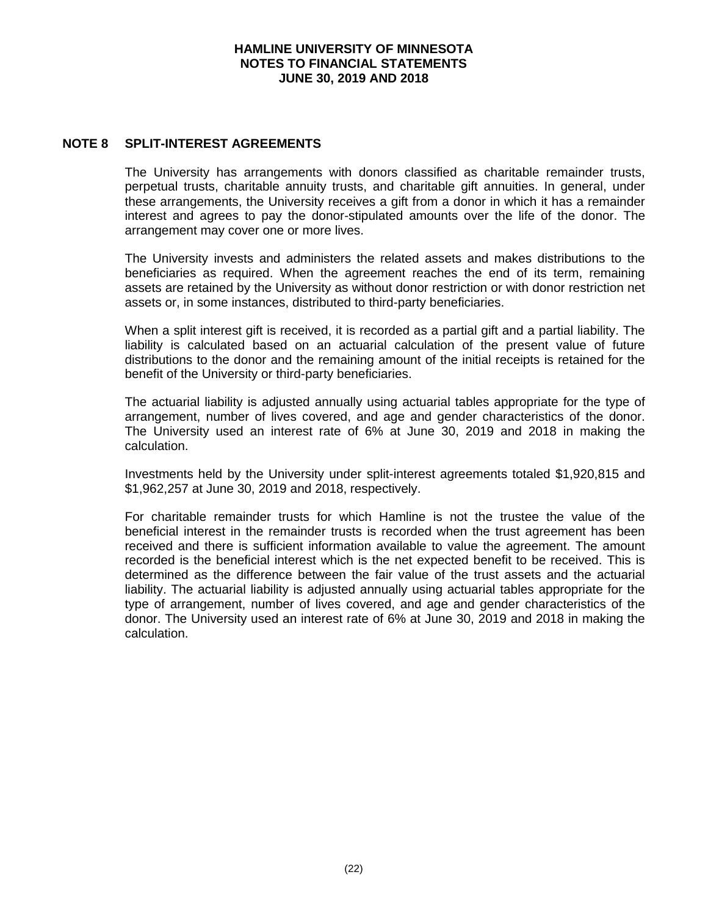#### **NOTE 8 SPLIT-INTEREST AGREEMENTS**

The University has arrangements with donors classified as charitable remainder trusts, perpetual trusts, charitable annuity trusts, and charitable gift annuities. In general, under these arrangements, the University receives a gift from a donor in which it has a remainder interest and agrees to pay the donor-stipulated amounts over the life of the donor. The arrangement may cover one or more lives.

The University invests and administers the related assets and makes distributions to the beneficiaries as required. When the agreement reaches the end of its term, remaining assets are retained by the University as without donor restriction or with donor restriction net assets or, in some instances, distributed to third-party beneficiaries.

When a split interest gift is received, it is recorded as a partial gift and a partial liability. The liability is calculated based on an actuarial calculation of the present value of future distributions to the donor and the remaining amount of the initial receipts is retained for the benefit of the University or third-party beneficiaries.

The actuarial liability is adjusted annually using actuarial tables appropriate for the type of arrangement, number of lives covered, and age and gender characteristics of the donor. The University used an interest rate of 6% at June 30, 2019 and 2018 in making the calculation.

Investments held by the University under split-interest agreements totaled \$1,920,815 and \$1,962,257 at June 30, 2019 and 2018, respectively.

For charitable remainder trusts for which Hamline is not the trustee the value of the beneficial interest in the remainder trusts is recorded when the trust agreement has been received and there is sufficient information available to value the agreement. The amount recorded is the beneficial interest which is the net expected benefit to be received. This is determined as the difference between the fair value of the trust assets and the actuarial liability. The actuarial liability is adjusted annually using actuarial tables appropriate for the type of arrangement, number of lives covered, and age and gender characteristics of the donor. The University used an interest rate of 6% at June 30, 2019 and 2018 in making the calculation.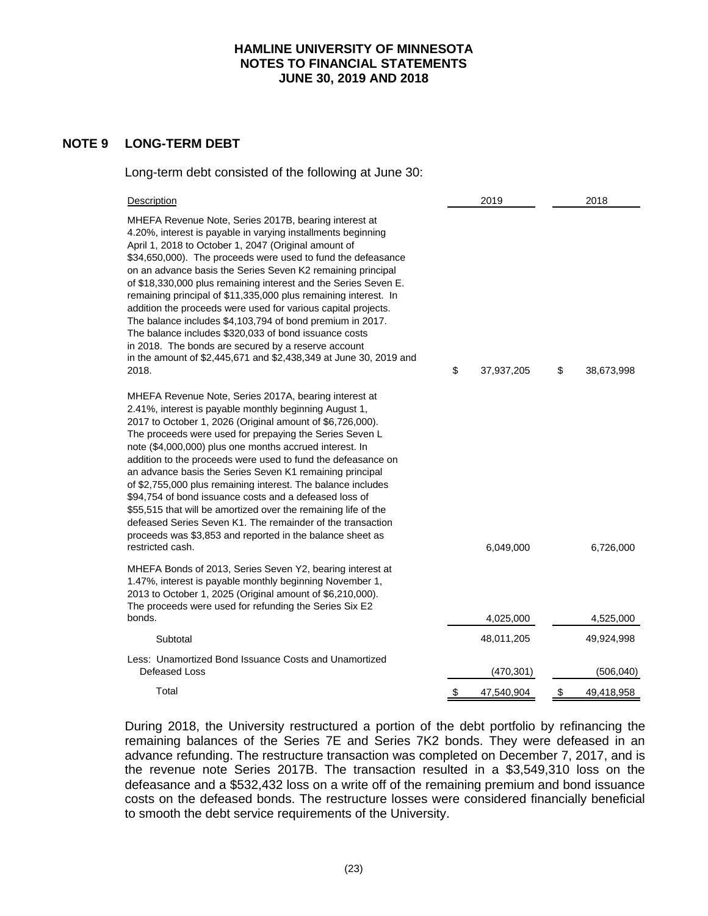### **NOTE 9 LONG-TERM DEBT**

Long-term debt consisted of the following at June 30:

| Description                                                                                                                                                                                                                                                                                                                                                                                                                                                                                                                                                                                                                                                                                                                                                                    | 2019             | 2018             |
|--------------------------------------------------------------------------------------------------------------------------------------------------------------------------------------------------------------------------------------------------------------------------------------------------------------------------------------------------------------------------------------------------------------------------------------------------------------------------------------------------------------------------------------------------------------------------------------------------------------------------------------------------------------------------------------------------------------------------------------------------------------------------------|------------------|------------------|
| MHEFA Revenue Note, Series 2017B, bearing interest at<br>4.20%, interest is payable in varying installments beginning<br>April 1, 2018 to October 1, 2047 (Original amount of<br>\$34,650,000). The proceeds were used to fund the defeasance<br>on an advance basis the Series Seven K2 remaining principal<br>of \$18,330,000 plus remaining interest and the Series Seven E.<br>remaining principal of \$11,335,000 plus remaining interest. In<br>addition the proceeds were used for various capital projects.<br>The balance includes \$4,103,794 of bond premium in 2017.<br>The balance includes \$320,033 of bond issuance costs<br>in 2018. The bonds are secured by a reserve account<br>in the amount of \$2,445,671 and \$2,438,349 at June 30, 2019 and<br>2018. | \$<br>37,937,205 | \$<br>38,673,998 |
| MHEFA Revenue Note, Series 2017A, bearing interest at<br>2.41%, interest is payable monthly beginning August 1,<br>2017 to October 1, 2026 (Original amount of \$6,726,000).<br>The proceeds were used for prepaying the Series Seven L<br>note (\$4,000,000) plus one months accrued interest. In<br>addition to the proceeds were used to fund the defeasance on<br>an advance basis the Series Seven K1 remaining principal<br>of \$2,755,000 plus remaining interest. The balance includes<br>\$94,754 of bond issuance costs and a defeased loss of<br>\$55,515 that will be amortized over the remaining life of the<br>defeased Series Seven K1. The remainder of the transaction<br>proceeds was \$3,853 and reported in the balance sheet as<br>restricted cash.      | 6,049,000        | 6,726,000        |
| MHEFA Bonds of 2013, Series Seven Y2, bearing interest at<br>1.47%, interest is payable monthly beginning November 1,<br>2013 to October 1, 2025 (Original amount of \$6,210,000).<br>The proceeds were used for refunding the Series Six E2                                                                                                                                                                                                                                                                                                                                                                                                                                                                                                                                   |                  |                  |
| bonds.                                                                                                                                                                                                                                                                                                                                                                                                                                                                                                                                                                                                                                                                                                                                                                         | 4,025,000        | 4,525,000        |
| Subtotal                                                                                                                                                                                                                                                                                                                                                                                                                                                                                                                                                                                                                                                                                                                                                                       | 48,011,205       | 49,924,998       |
| Less: Unamortized Bond Issuance Costs and Unamortized<br>Defeased Loss                                                                                                                                                                                                                                                                                                                                                                                                                                                                                                                                                                                                                                                                                                         | (470, 301)       | (506, 040)       |
| Total                                                                                                                                                                                                                                                                                                                                                                                                                                                                                                                                                                                                                                                                                                                                                                          | \$<br>47,540,904 | \$<br>49,418,958 |
|                                                                                                                                                                                                                                                                                                                                                                                                                                                                                                                                                                                                                                                                                                                                                                                |                  |                  |

During 2018, the University restructured a portion of the debt portfolio by refinancing the remaining balances of the Series 7E and Series 7K2 bonds. They were defeased in an advance refunding. The restructure transaction was completed on December 7, 2017, and is the revenue note Series 2017B. The transaction resulted in a \$3,549,310 loss on the defeasance and a \$532,432 loss on a write off of the remaining premium and bond issuance costs on the defeased bonds. The restructure losses were considered financially beneficial to smooth the debt service requirements of the University.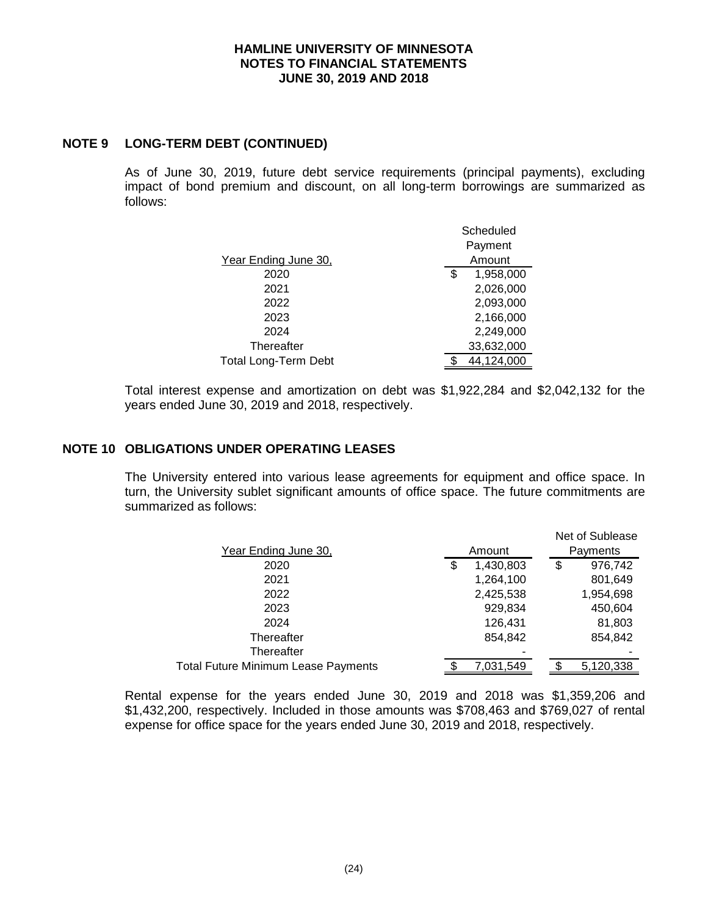### **NOTE 9 LONG-TERM DEBT (CONTINUED)**

As of June 30, 2019, future debt service requirements (principal payments), excluding impact of bond premium and discount, on all long-term borrowings are summarized as follows:

| Year Ending June 30,        | Scheduled<br>Payment<br>Amount |
|-----------------------------|--------------------------------|
| 2020                        | \$<br>1,958,000                |
| 2021                        | 2,026,000                      |
| 2022                        | 2,093,000                      |
| 2023                        | 2,166,000                      |
| 2024                        | 2,249,000                      |
| Thereafter                  | 33,632,000                     |
| <b>Total Long-Term Debt</b> | 44,124,000                     |

Total interest expense and amortization on debt was \$1,922,284 and \$2,042,132 for the years ended June 30, 2019 and 2018, respectively.

### **NOTE 10 OBLIGATIONS UNDER OPERATING LEASES**

The University entered into various lease agreements for equipment and office space. In turn, the University sublet significant amounts of office space. The future commitments are summarized as follows:

| Year Ending June 30,                | Amount          | Net of Sublease<br>Payments |
|-------------------------------------|-----------------|-----------------------------|
| 2020                                | \$<br>1,430,803 | \$<br>976,742               |
| 2021                                | 1,264,100       | 801,649                     |
| 2022                                | 2,425,538       | 1,954,698                   |
| 2023                                | 929,834         | 450,604                     |
| 2024                                | 126,431         | 81,803                      |
| Thereafter                          | 854,842         | 854,842                     |
| Thereafter                          |                 |                             |
| Total Future Minimum Lease Payments | 7,031,549       | 5,120,338                   |

Rental expense for the years ended June 30, 2019 and 2018 was \$1,359,206 and \$1,432,200, respectively. Included in those amounts was \$708,463 and \$769,027 of rental expense for office space for the years ended June 30, 2019 and 2018, respectively.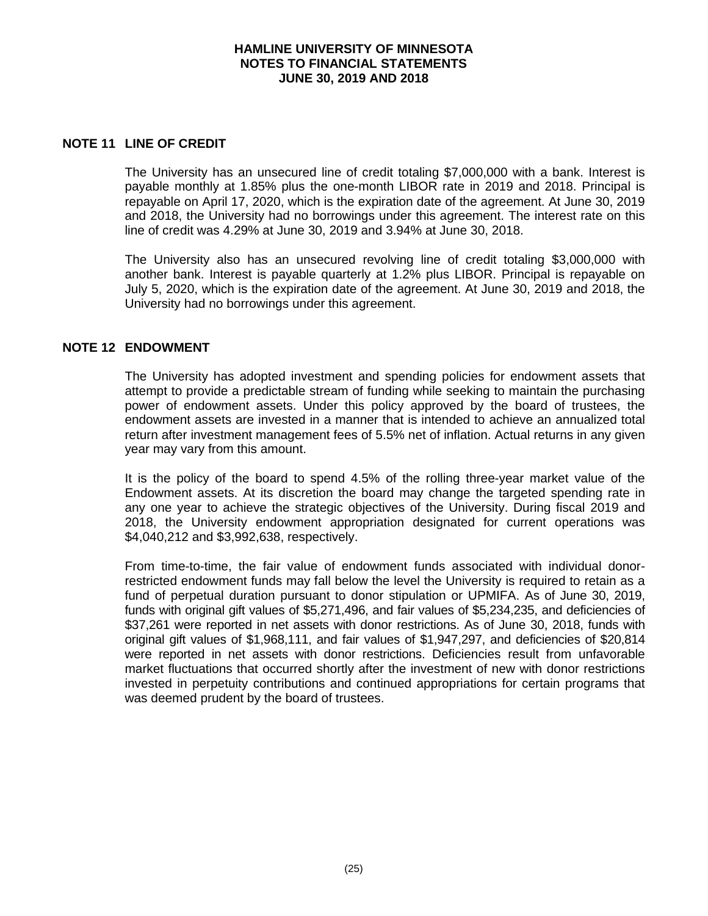## **NOTE 11 LINE OF CREDIT**

The University has an unsecured line of credit totaling \$7,000,000 with a bank. Interest is payable monthly at 1.85% plus the one-month LIBOR rate in 2019 and 2018. Principal is repayable on April 17, 2020, which is the expiration date of the agreement. At June 30, 2019 and 2018, the University had no borrowings under this agreement. The interest rate on this line of credit was 4.29% at June 30, 2019 and 3.94% at June 30, 2018.

The University also has an unsecured revolving line of credit totaling \$3,000,000 with another bank. Interest is payable quarterly at 1.2% plus LIBOR. Principal is repayable on July 5, 2020, which is the expiration date of the agreement. At June 30, 2019 and 2018, the University had no borrowings under this agreement.

#### **NOTE 12 ENDOWMENT**

The University has adopted investment and spending policies for endowment assets that attempt to provide a predictable stream of funding while seeking to maintain the purchasing power of endowment assets. Under this policy approved by the board of trustees, the endowment assets are invested in a manner that is intended to achieve an annualized total return after investment management fees of 5.5% net of inflation. Actual returns in any given year may vary from this amount.

It is the policy of the board to spend 4.5% of the rolling three-year market value of the Endowment assets. At its discretion the board may change the targeted spending rate in any one year to achieve the strategic objectives of the University. During fiscal 2019 and 2018, the University endowment appropriation designated for current operations was \$4,040,212 and \$3,992,638, respectively.

From time-to-time, the fair value of endowment funds associated with individual donorrestricted endowment funds may fall below the level the University is required to retain as a fund of perpetual duration pursuant to donor stipulation or UPMIFA. As of June 30, 2019, funds with original gift values of \$5,271,496, and fair values of \$5,234,235, and deficiencies of \$37,261 were reported in net assets with donor restrictions. As of June 30, 2018, funds with original gift values of \$1,968,111, and fair values of \$1,947,297, and deficiencies of \$20,814 were reported in net assets with donor restrictions. Deficiencies result from unfavorable market fluctuations that occurred shortly after the investment of new with donor restrictions invested in perpetuity contributions and continued appropriations for certain programs that was deemed prudent by the board of trustees.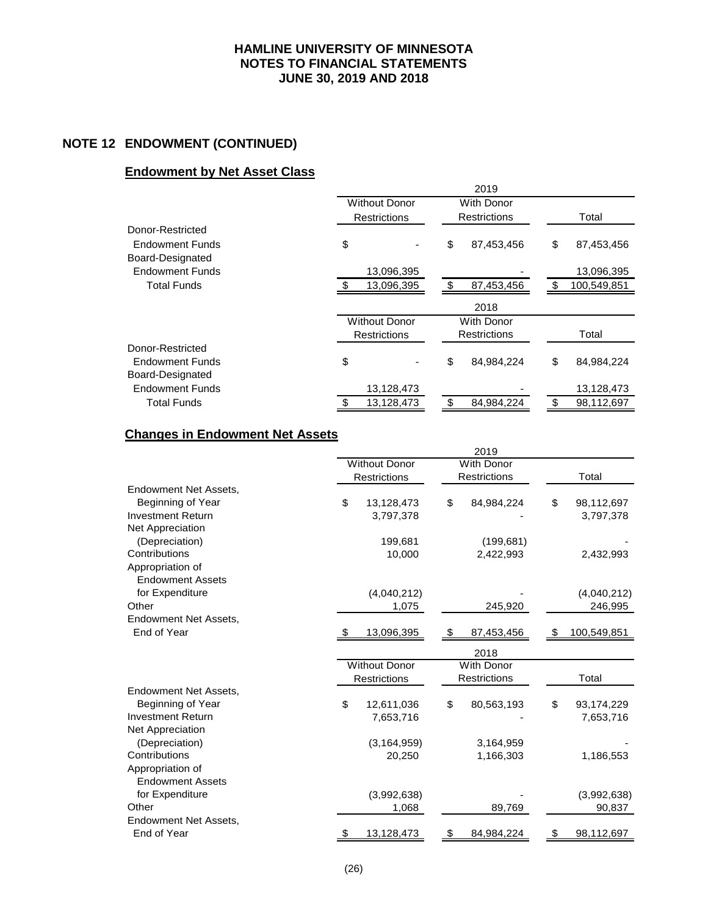# **NOTE 12 ENDOWMENT (CONTINUED)**

## **Endowment by Net Asset Class**

|                        |                      | 2019                |                  |  |  |  |
|------------------------|----------------------|---------------------|------------------|--|--|--|
|                        | Without Donor        | With Donor          |                  |  |  |  |
|                        | <b>Restrictions</b>  | <b>Restrictions</b> | Total            |  |  |  |
| Donor-Restricted       |                      |                     |                  |  |  |  |
| <b>Endowment Funds</b> | \$                   | \$<br>87,453,456    | \$<br>87,453,456 |  |  |  |
| Board-Designated       |                      |                     |                  |  |  |  |
| <b>Endowment Funds</b> | 13,096,395           |                     | 13,096,395       |  |  |  |
| <b>Total Funds</b>     | 13,096,395           | 87,453,456          | 100,549,851      |  |  |  |
|                        | 2018                 |                     |                  |  |  |  |
|                        | <b>Without Donor</b> | <b>With Donor</b>   |                  |  |  |  |
|                        | <b>Restrictions</b>  | Restrictions        | Total            |  |  |  |
| Donor-Restricted       |                      |                     |                  |  |  |  |
| <b>Endowment Funds</b> | \$                   | \$<br>84,984,224    | \$<br>84,984,224 |  |  |  |
| Board-Designated       |                      |                     |                  |  |  |  |
| <b>Endowment Funds</b> | 13,128,473           |                     | 13,128,473       |  |  |  |
| Total Funds            | 13,128,473           | 84,984,224          | 98,112,697       |  |  |  |

# **Changes in Endowment Net Assets**

|                                               |    |                      |    | 2019                      |                   |
|-----------------------------------------------|----|----------------------|----|---------------------------|-------------------|
|                                               |    | <b>Without Donor</b> |    | <b>With Donor</b>         |                   |
|                                               |    | Restrictions         |    | <b>Restrictions</b>       | Total             |
| <b>Endowment Net Assets,</b>                  |    |                      |    |                           |                   |
| Beginning of Year                             | \$ | 13,128,473           | \$ | 84,984,224                | \$<br>98,112,697  |
| <b>Investment Return</b>                      |    | 3,797,378            |    |                           | 3,797,378         |
| Net Appreciation                              |    |                      |    |                           |                   |
| (Depreciation)                                |    | 199,681              |    | (199, 681)                |                   |
| Contributions                                 |    | 10,000               |    | 2,422,993                 | 2,432,993         |
| Appropriation of                              |    |                      |    |                           |                   |
| <b>Endowment Assets</b>                       |    |                      |    |                           |                   |
| for Expenditure                               |    | (4,040,212)          |    |                           | (4,040,212)       |
| Other                                         |    | 1,075                |    | 245,920                   | 246,995           |
| Endowment Net Assets,                         |    |                      |    |                           |                   |
| End of Year                                   |    | 13,096,395           | S  | 87,453,456                | \$<br>100,549,851 |
|                                               |    |                      |    |                           |                   |
|                                               |    | <b>Without Donor</b> |    | 2018<br><b>With Donor</b> |                   |
|                                               |    |                      |    |                           | Total             |
|                                               |    | Restrictions         |    | <b>Restrictions</b>       |                   |
| <b>Endowment Net Assets,</b>                  |    |                      |    |                           |                   |
| Beginning of Year<br><b>Investment Return</b> | \$ | 12,611,036           | \$ | 80,563,193                | \$<br>93,174,229  |
|                                               |    | 7,653,716            |    |                           | 7,653,716         |
| Net Appreciation                              |    |                      |    |                           |                   |
| (Depreciation)                                |    | (3, 164, 959)        |    | 3,164,959                 |                   |
| Contributions                                 |    | 20,250               |    | 1,166,303                 | 1,186,553         |
| Appropriation of<br><b>Endowment Assets</b>   |    |                      |    |                           |                   |
| for Expenditure                               |    | (3,992,638)          |    |                           | (3,992,638)       |
| Other                                         |    | 1,068                |    | 89,769                    | 90,837            |
| <b>Endowment Net Assets,</b>                  |    |                      |    |                           |                   |
| End of Year                                   |    | <u>13,128,473</u>    |    | 84,984,224                | 98,112,697        |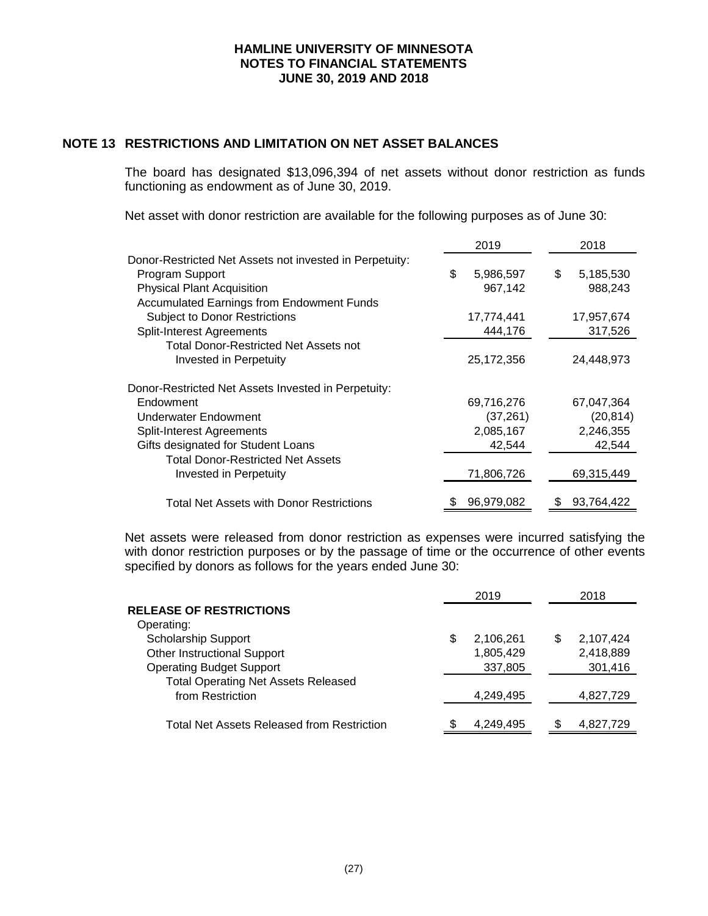### **NOTE 13 RESTRICTIONS AND LIMITATION ON NET ASSET BALANCES**

The board has designated \$13,096,394 of net assets without donor restriction as funds functioning as endowment as of June 30, 2019.

Net asset with donor restriction are available for the following purposes as of June 30:

|                                                         | 2019            | 2018            |
|---------------------------------------------------------|-----------------|-----------------|
| Donor-Restricted Net Assets not invested in Perpetuity: |                 |                 |
| Program Support                                         | \$<br>5,986,597 | \$<br>5,185,530 |
| <b>Physical Plant Acquisition</b>                       | 967.142         | 988,243         |
| <b>Accumulated Earnings from Endowment Funds</b>        |                 |                 |
| <b>Subject to Donor Restrictions</b>                    | 17,774,441      | 17,957,674      |
| <b>Split-Interest Agreements</b>                        | 444,176         | 317,526         |
| Total Donor-Restricted Net Assets not                   |                 |                 |
| Invested in Perpetuity                                  | 25,172,356      | 24,448,973      |
| Donor-Restricted Net Assets Invested in Perpetuity:     |                 |                 |
| Endowment                                               | 69,716,276      | 67,047,364      |
| <b>Underwater Endowment</b>                             | (37, 261)       | (20, 814)       |
| Split-Interest Agreements                               | 2,085,167       | 2,246,355       |
| Gifts designated for Student Loans                      | 42.544          | 42.544          |
| <b>Total Donor-Restricted Net Assets</b>                |                 |                 |
| Invested in Perpetuity                                  | 71,806,726      | 69,315,449      |
| Total Net Assets with Donor Restrictions                | 96,979,082      | 93,764,422      |

Net assets were released from donor restriction as expenses were incurred satisfying the with donor restriction purposes or by the passage of time or the occurrence of other events specified by donors as follows for the years ended June 30:

|                                            |   | 2019      |    | 2018      |
|--------------------------------------------|---|-----------|----|-----------|
| <b>RELEASE OF RESTRICTIONS</b>             |   |           |    |           |
| Operating:                                 |   |           |    |           |
| <b>Scholarship Support</b>                 | S | 2,106,261 | S  | 2,107,424 |
| <b>Other Instructional Support</b>         |   | 1,805,429 |    | 2,418,889 |
| <b>Operating Budget Support</b>            |   | 337,805   |    | 301,416   |
| <b>Total Operating Net Assets Released</b> |   |           |    |           |
| from Restriction                           |   | 4,249,495 |    | 4,827,729 |
|                                            |   |           |    |           |
| Total Net Assets Released from Restriction |   | 4,249,495 | S. | 4,827,729 |
|                                            |   |           |    |           |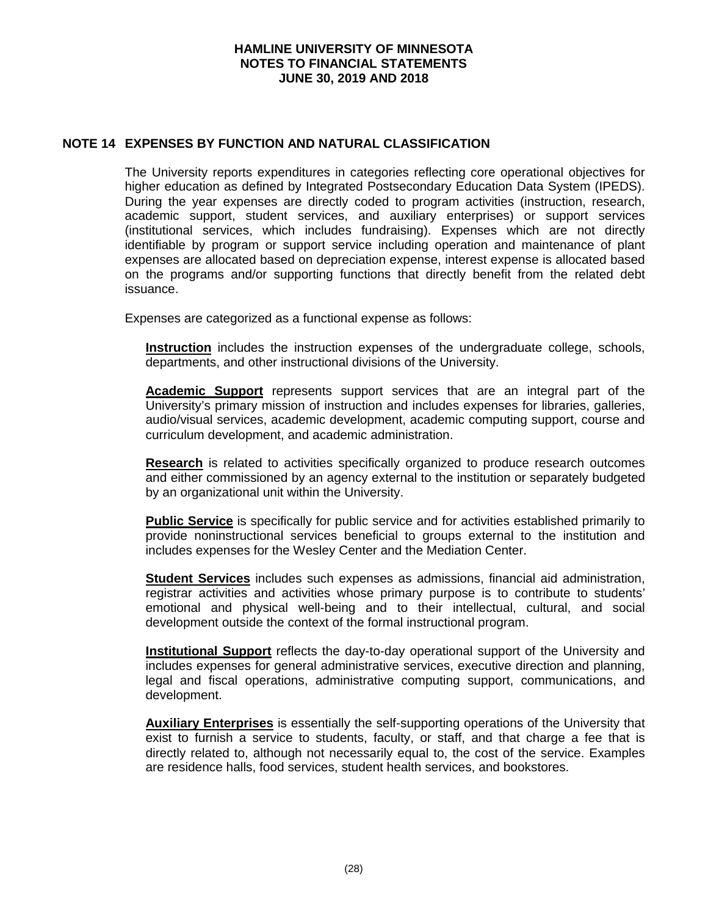### **NOTE 14 EXPENSES BY FUNCTION AND NATURAL CLASSIFICATION**

The University reports expenditures in categories reflecting core operational objectives for higher education as defined by Integrated Postsecondary Education Data System (IPEDS). During the year expenses are directly coded to program activities (instruction, research, academic support, student services, and auxiliary enterprises) or support services (institutional services, which includes fundraising). Expenses which are not directly identifiable by program or support service including operation and maintenance of plant expenses are allocated based on depreciation expense, interest expense is allocated based on the programs and/or supporting functions that directly benefit from the related debt issuance.

Expenses are categorized as a functional expense as follows:

**Instruction** includes the instruction expenses of the undergraduate college, schools, departments, and other instructional divisions of the University.

**Academic Support** represents support services that are an integral part of the University's primary mission of instruction and includes expenses for libraries, galleries, audio/visual services, academic development, academic computing support, course and curriculum development, and academic administration.

**Research** is related to activities specifically organized to produce research outcomes and either commissioned by an agency external to the institution or separately budgeted by an organizational unit within the University.

**Public Service** is specifically for public service and for activities established primarily to provide noninstructional services beneficial to groups external to the institution and includes expenses for the Wesley Center and the Mediation Center.

**Student Services** includes such expenses as admissions, financial aid administration, registrar activities and activities whose primary purpose is to contribute to students' emotional and physical well-being and to their intellectual, cultural, and social development outside the context of the formal instructional program.

**Institutional Support** reflects the day-to-day operational support of the University and includes expenses for general administrative services, executive direction and planning, legal and fiscal operations, administrative computing support, communications, and development.

**Auxiliary Enterprises** is essentially the self-supporting operations of the University that exist to furnish a service to students, faculty, or staff, and that charge a fee that is directly related to, although not necessarily equal to, the cost of the service. Examples are residence halls, food services, student health services, and bookstores.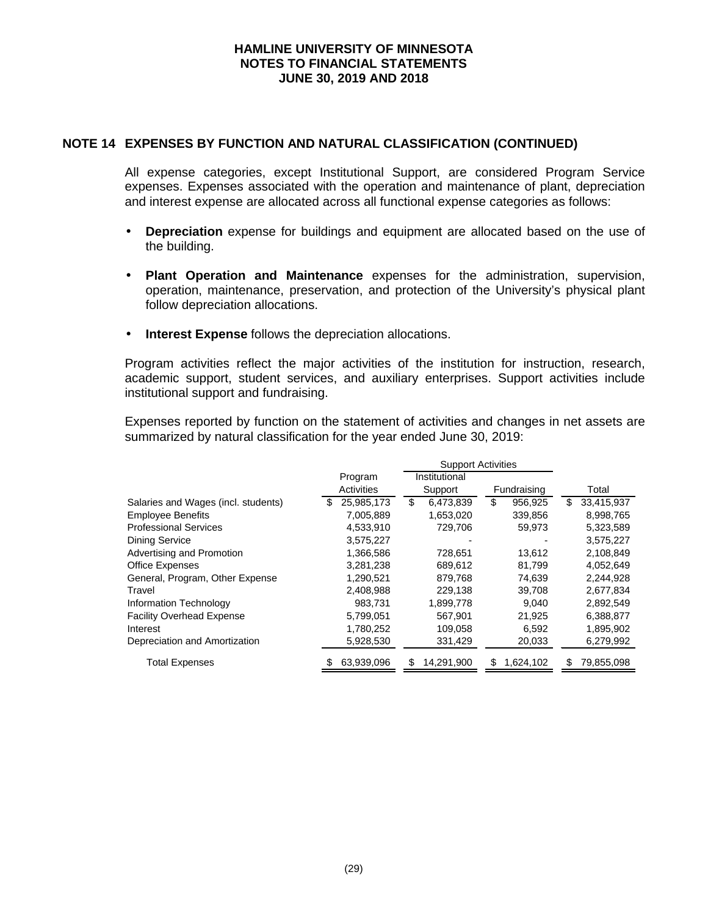#### **NOTE 14 EXPENSES BY FUNCTION AND NATURAL CLASSIFICATION (CONTINUED)**

All expense categories, except Institutional Support, are considered Program Service expenses. Expenses associated with the operation and maintenance of plant, depreciation and interest expense are allocated across all functional expense categories as follows:

- **Depreciation** expense for buildings and equipment are allocated based on the use of the building.
- **Plant Operation and Maintenance** expenses for the administration, supervision, operation, maintenance, preservation, and protection of the University's physical plant follow depreciation allocations.
- **Interest Expense** follows the depreciation allocations.

Program activities reflect the major activities of the institution for instruction, research, academic support, student services, and auxiliary enterprises. Support activities include institutional support and fundraising.

Expenses reported by function on the statement of activities and changes in net assets are summarized by natural classification for the year ended June 30, 2019:

|                                     | Program    | Institutional   |                |                  |
|-------------------------------------|------------|-----------------|----------------|------------------|
|                                     | Activities | Support         | Fundraising    | Total            |
| Salaries and Wages (incl. students) | 25,985,173 | \$<br>6,473,839 | \$<br>956.925  | \$<br>33,415,937 |
| <b>Employee Benefits</b>            | 7,005,889  | 1,653,020       | 339,856        | 8,998,765        |
| <b>Professional Services</b>        | 4,533,910  | 729,706         | 59,973         | 5,323,589        |
| <b>Dining Service</b>               | 3,575,227  |                 |                | 3,575,227        |
| Advertising and Promotion           | 1,366,586  | 728,651         | 13,612         | 2,108,849        |
| <b>Office Expenses</b>              | 3,281,238  | 689,612         | 81,799         | 4,052,649        |
| General, Program, Other Expense     | 1,290,521  | 879,768         | 74,639         | 2,244,928        |
| Travel                              | 2,408,988  | 229,138         | 39,708         | 2,677,834        |
| Information Technology              | 983,731    | 1,899,778       | 9,040          | 2,892,549        |
| <b>Facility Overhead Expense</b>    | 5,799,051  | 567.901         | 21.925         | 6,388,877        |
| Interest                            | 1,780,252  | 109,058         | 6,592          | 1,895,902        |
| Depreciation and Amortization       | 5,928,530  | 331,429         | 20,033         | 6,279,992        |
| <b>Total Expenses</b>               | 63,939,096 | 14,291,900<br>S | 1,624,102<br>S | 79,855,098<br>S  |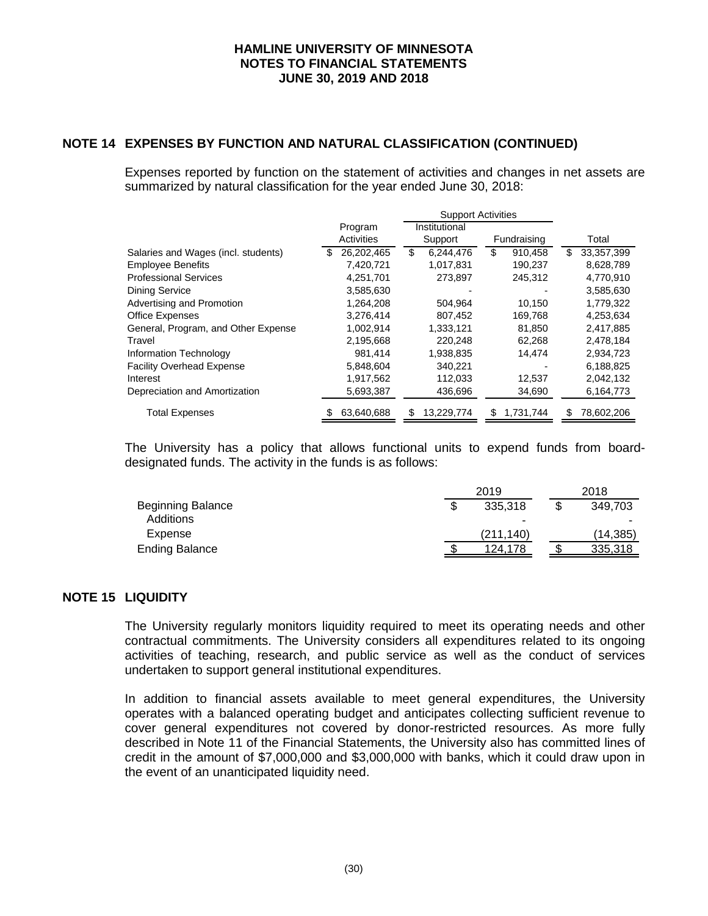### **NOTE 14 EXPENSES BY FUNCTION AND NATURAL CLASSIFICATION (CONTINUED)**

Expenses reported by function on the statement of activities and changes in net assets are summarized by natural classification for the year ended June 30, 2018:

|                                     |            | <b>Support Activities</b> |                |                   |
|-------------------------------------|------------|---------------------------|----------------|-------------------|
|                                     | Program    | Institutional             |                |                   |
|                                     | Activities | Support                   | Fundraising    | Total             |
| Salaries and Wages (incl. students) | 26,202,465 | \$<br>6,244,476           | \$<br>910,458  | \$.<br>33,357,399 |
| <b>Employee Benefits</b>            | 7,420,721  | 1,017,831                 | 190,237        | 8,628,789         |
| <b>Professional Services</b>        | 4,251,701  | 273,897                   | 245,312        | 4,770,910         |
| <b>Dining Service</b>               | 3,585,630  |                           |                | 3,585,630         |
| Advertising and Promotion           | 1,264,208  | 504,964                   | 10,150         | 1,779,322         |
| <b>Office Expenses</b>              | 3,276,414  | 807,452                   | 169,768        | 4,253,634         |
| General, Program, and Other Expense | 1,002,914  | 1,333,121                 | 81,850         | 2,417,885         |
| Travel                              | 2,195,668  | 220.248                   | 62,268         | 2,478,184         |
| Information Technology              | 981,414    | 1,938,835                 | 14.474         | 2,934,723         |
| <b>Facility Overhead Expense</b>    | 5,848,604  | 340,221                   |                | 6,188,825         |
| Interest                            | 1,917,562  | 112,033                   | 12,537         | 2,042,132         |
| Depreciation and Amortization       | 5,693,387  | 436,696                   | 34,690         | 6,164,773         |
| <b>Total Expenses</b>               | 63,640,688 | 13,229,774<br>S           | 1,731,744<br>S | 78,602,206<br>S   |

The University has a policy that allows functional units to expend funds from boarddesignated funds. The activity in the funds is as follows:

|                          | 2019 |           |  | 2018 |          |  |
|--------------------------|------|-----------|--|------|----------|--|
| <b>Beginning Balance</b> |      | 335.318   |  | \$   | 349.703  |  |
| Additions                |      |           |  |      | -        |  |
| Expense                  |      | (211.140) |  |      | (14,385) |  |
| <b>Ending Balance</b>    |      | 124.178   |  |      | 335,318  |  |

### **NOTE 15 LIQUIDITY**

The University regularly monitors liquidity required to meet its operating needs and other contractual commitments. The University considers all expenditures related to its ongoing activities of teaching, research, and public service as well as the conduct of services undertaken to support general institutional expenditures.

In addition to financial assets available to meet general expenditures, the University operates with a balanced operating budget and anticipates collecting sufficient revenue to cover general expenditures not covered by donor-restricted resources. As more fully described in Note 11 of the Financial Statements, the University also has committed lines of credit in the amount of \$7,000,000 and \$3,000,000 with banks, which it could draw upon in the event of an unanticipated liquidity need.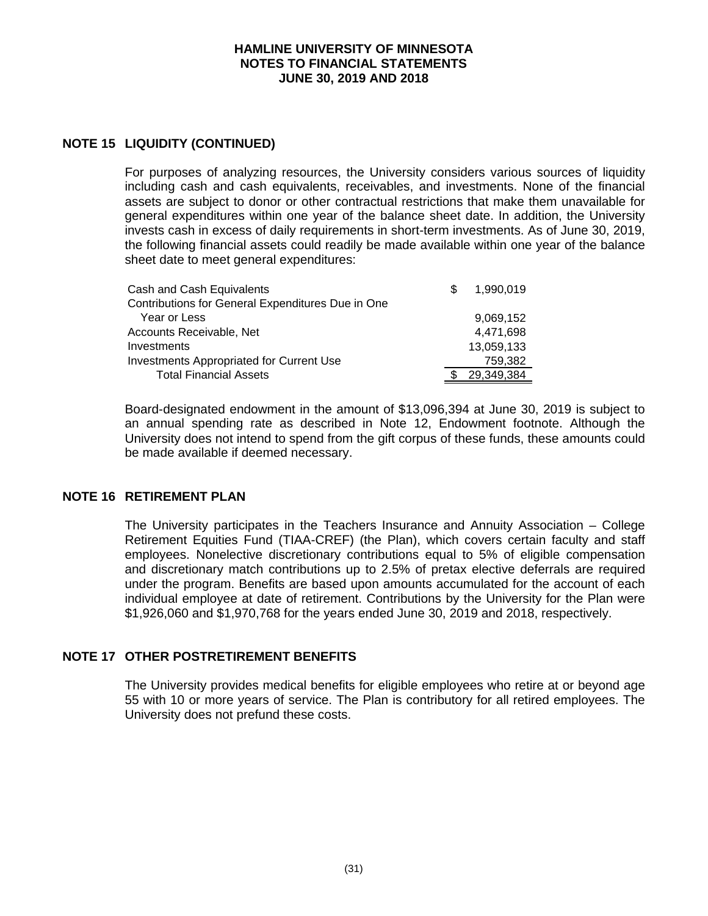### **NOTE 15 LIQUIDITY (CONTINUED)**

For purposes of analyzing resources, the University considers various sources of liquidity including cash and cash equivalents, receivables, and investments. None of the financial assets are subject to donor or other contractual restrictions that make them unavailable for general expenditures within one year of the balance sheet date. In addition, the University invests cash in excess of daily requirements in short-term investments. As of June 30, 2019, the following financial assets could readily be made available within one year of the balance sheet date to meet general expenditures:

| Cash and Cash Equivalents                         | \$. | 1.990.019  |
|---------------------------------------------------|-----|------------|
| Contributions for General Expenditures Due in One |     |            |
| Year or Less                                      |     | 9,069,152  |
| Accounts Receivable, Net                          |     | 4,471,698  |
| Investments                                       |     | 13,059,133 |
| <b>Investments Appropriated for Current Use</b>   |     | 759,382    |
| <b>Total Financial Assets</b>                     |     | 29.349.384 |

Board-designated endowment in the amount of \$13,096,394 at June 30, 2019 is subject to an annual spending rate as described in Note 12, Endowment footnote. Although the University does not intend to spend from the gift corpus of these funds, these amounts could be made available if deemed necessary.

#### **NOTE 16 RETIREMENT PLAN**

The University participates in the Teachers Insurance and Annuity Association – College Retirement Equities Fund (TIAA-CREF) (the Plan), which covers certain faculty and staff employees. Nonelective discretionary contributions equal to 5% of eligible compensation and discretionary match contributions up to 2.5% of pretax elective deferrals are required under the program. Benefits are based upon amounts accumulated for the account of each individual employee at date of retirement. Contributions by the University for the Plan were \$1,926,060 and \$1,970,768 for the years ended June 30, 2019 and 2018, respectively.

#### **NOTE 17 OTHER POSTRETIREMENT BENEFITS**

The University provides medical benefits for eligible employees who retire at or beyond age 55 with 10 or more years of service. The Plan is contributory for all retired employees. The University does not prefund these costs.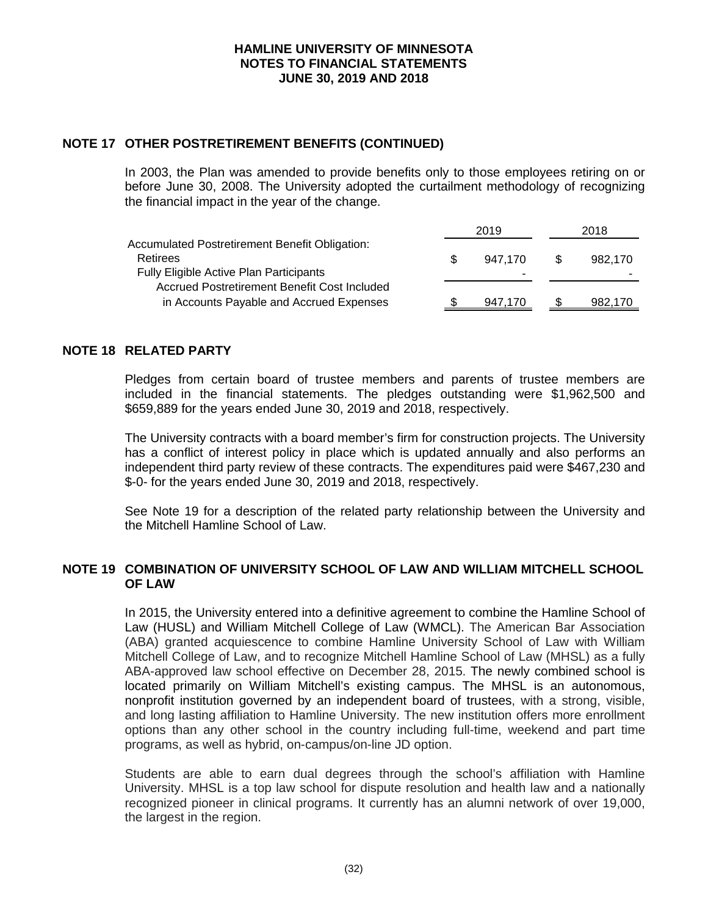### **NOTE 17 OTHER POSTRETIREMENT BENEFITS (CONTINUED)**

In 2003, the Plan was amended to provide benefits only to those employees retiring on or before June 30, 2008. The University adopted the curtailment methodology of recognizing the financial impact in the year of the change.

| 2019    |  | 2018    |  |
|---------|--|---------|--|
| 947.170 |  | 982.170 |  |
| 947,170 |  | 982,170 |  |
|         |  |         |  |

### **NOTE 18 RELATED PARTY**

Pledges from certain board of trustee members and parents of trustee members are included in the financial statements. The pledges outstanding were \$1,962,500 and \$659,889 for the years ended June 30, 2019 and 2018, respectively.

The University contracts with a board member's firm for construction projects. The University has a conflict of interest policy in place which is updated annually and also performs an independent third party review of these contracts. The expenditures paid were \$467,230 and \$-0- for the years ended June 30, 2019 and 2018, respectively.

See Note 19 for a description of the related party relationship between the University and the Mitchell Hamline School of Law.

### **NOTE 19 COMBINATION OF UNIVERSITY SCHOOL OF LAW AND WILLIAM MITCHELL SCHOOL OF LAW**

In 2015, the University entered into a definitive agreement to combine the Hamline School of Law (HUSL) and William Mitchell College of Law (WMCL). The American Bar Association (ABA) granted acquiescence to combine Hamline University School of Law with William Mitchell College of Law, and to recognize Mitchell Hamline School of Law (MHSL) as a fully ABA-approved law school effective on December 28, 2015. The newly combined school is located primarily on William Mitchell's existing campus. The MHSL is an autonomous, nonprofit institution governed by an independent board of trustees, with a strong, visible, and long lasting affiliation to Hamline University. The new institution offers more enrollment options than any other school in the country including full-time, weekend and part time programs, as well as hybrid, on-campus/on-line JD option.

Students are able to earn dual degrees through the school's affiliation with Hamline University. MHSL is a top law school for dispute resolution and health law and a nationally recognized pioneer in clinical programs. It currently has an alumni network of over 19,000, the largest in the region.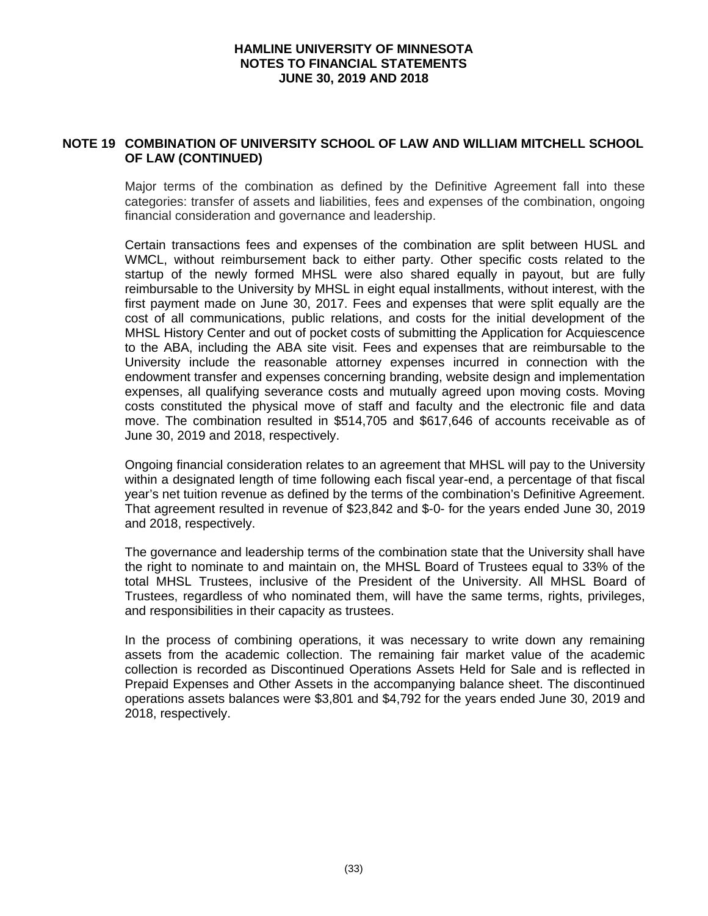### **NOTE 19 COMBINATION OF UNIVERSITY SCHOOL OF LAW AND WILLIAM MITCHELL SCHOOL OF LAW (CONTINUED)**

Major terms of the combination as defined by the Definitive Agreement fall into these categories: transfer of assets and liabilities, fees and expenses of the combination, ongoing financial consideration and governance and leadership.

Certain transactions fees and expenses of the combination are split between HUSL and WMCL, without reimbursement back to either party. Other specific costs related to the startup of the newly formed MHSL were also shared equally in payout, but are fully reimbursable to the University by MHSL in eight equal installments, without interest, with the first payment made on June 30, 2017. Fees and expenses that were split equally are the cost of all communications, public relations, and costs for the initial development of the MHSL History Center and out of pocket costs of submitting the Application for Acquiescence to the ABA, including the ABA site visit. Fees and expenses that are reimbursable to the University include the reasonable attorney expenses incurred in connection with the endowment transfer and expenses concerning branding, website design and implementation expenses, all qualifying severance costs and mutually agreed upon moving costs. Moving costs constituted the physical move of staff and faculty and the electronic file and data move. The combination resulted in \$514,705 and \$617,646 of accounts receivable as of June 30, 2019 and 2018, respectively.

Ongoing financial consideration relates to an agreement that MHSL will pay to the University within a designated length of time following each fiscal year-end, a percentage of that fiscal year's net tuition revenue as defined by the terms of the combination's Definitive Agreement. That agreement resulted in revenue of \$23,842 and \$-0- for the years ended June 30, 2019 and 2018, respectively.

The governance and leadership terms of the combination state that the University shall have the right to nominate to and maintain on, the MHSL Board of Trustees equal to 33% of the total MHSL Trustees, inclusive of the President of the University. All MHSL Board of Trustees, regardless of who nominated them, will have the same terms, rights, privileges, and responsibilities in their capacity as trustees.

In the process of combining operations, it was necessary to write down any remaining assets from the academic collection. The remaining fair market value of the academic collection is recorded as Discontinued Operations Assets Held for Sale and is reflected in Prepaid Expenses and Other Assets in the accompanying balance sheet. The discontinued operations assets balances were \$3,801 and \$4,792 for the years ended June 30, 2019 and 2018, respectively.